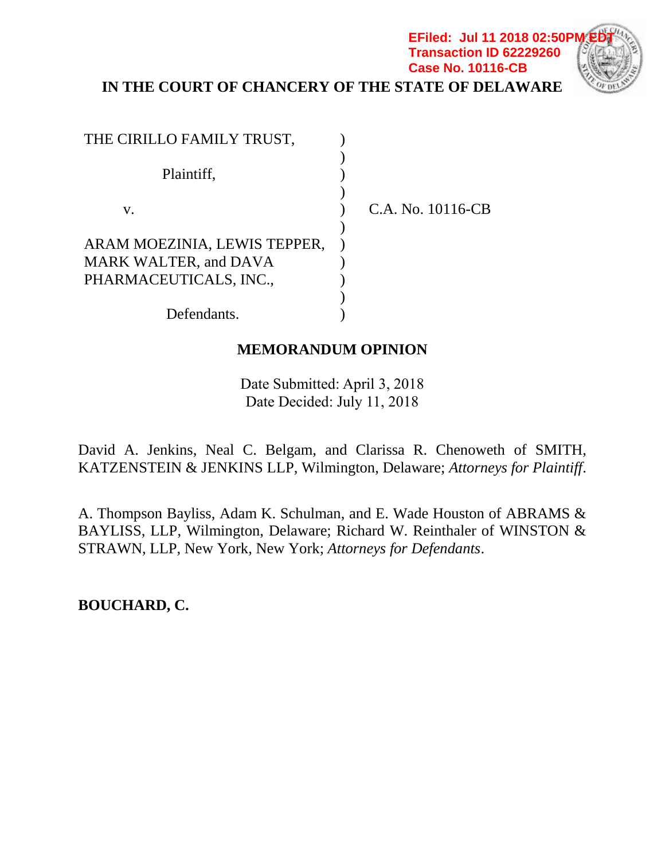**IN THE COURT OF CHANCERY OF THE STATE OF DELAWARE**

**EFiled: Jul 11 2018 02:50P Transaction ID 62229260**

**Case No. 10116-CB**

| THE CIRILLO FAMILY TRUST,    |                   |
|------------------------------|-------------------|
|                              |                   |
| Plaintiff,                   |                   |
|                              |                   |
| V.                           | C.A. No. 10116-CB |
|                              |                   |
| ARAM MOEZINIA, LEWIS TEPPER, |                   |
| <b>MARK WALTER, and DAVA</b> |                   |
| PHARMACEUTICALS, INC.,       |                   |
|                              |                   |
| Defendants.                  |                   |

# **MEMORANDUM OPINION**

Date Submitted: April 3, 2018 Date Decided: July 11, 2018

David A. Jenkins, Neal C. Belgam, and Clarissa R. Chenoweth of SMITH, KATZENSTEIN & JENKINS LLP, Wilmington, Delaware; *Attorneys for Plaintiff*.

A. Thompson Bayliss, Adam K. Schulman, and E. Wade Houston of ABRAMS & BAYLISS, LLP, Wilmington, Delaware; Richard W. Reinthaler of WINSTON & STRAWN, LLP, New York, New York; *Attorneys for Defendants*.

**BOUCHARD, C.**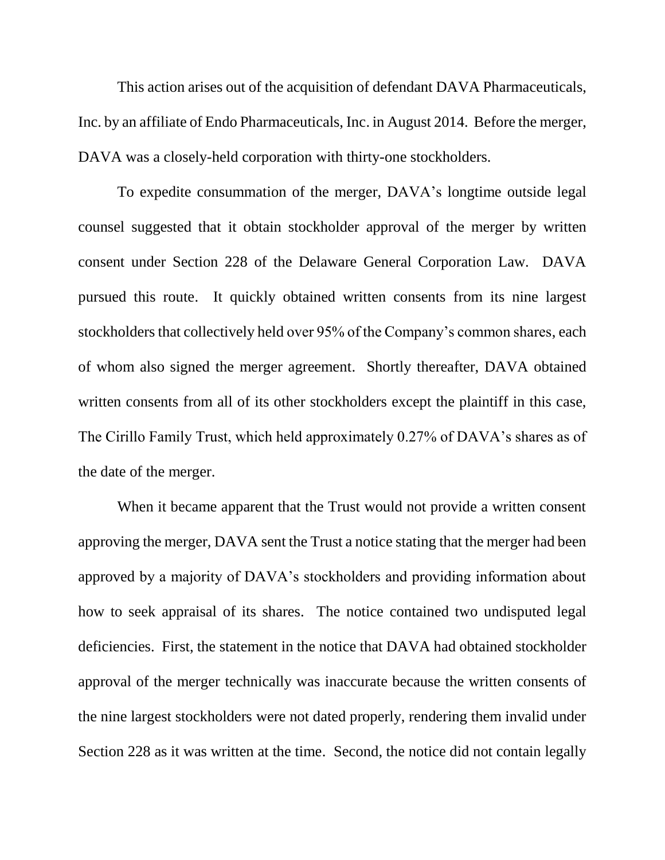This action arises out of the acquisition of defendant DAVA Pharmaceuticals, Inc. by an affiliate of Endo Pharmaceuticals, Inc. in August 2014. Before the merger, DAVA was a closely-held corporation with thirty-one stockholders.

To expedite consummation of the merger, DAVA's longtime outside legal counsel suggested that it obtain stockholder approval of the merger by written consent under Section 228 of the Delaware General Corporation Law. DAVA pursued this route. It quickly obtained written consents from its nine largest stockholders that collectively held over 95% of the Company's common shares, each of whom also signed the merger agreement. Shortly thereafter, DAVA obtained written consents from all of its other stockholders except the plaintiff in this case, The Cirillo Family Trust, which held approximately 0.27% of DAVA's shares as of the date of the merger.

When it became apparent that the Trust would not provide a written consent approving the merger, DAVA sent the Trust a notice stating that the merger had been approved by a majority of DAVA's stockholders and providing information about how to seek appraisal of its shares. The notice contained two undisputed legal deficiencies. First, the statement in the notice that DAVA had obtained stockholder approval of the merger technically was inaccurate because the written consents of the nine largest stockholders were not dated properly, rendering them invalid under Section 228 as it was written at the time. Second, the notice did not contain legally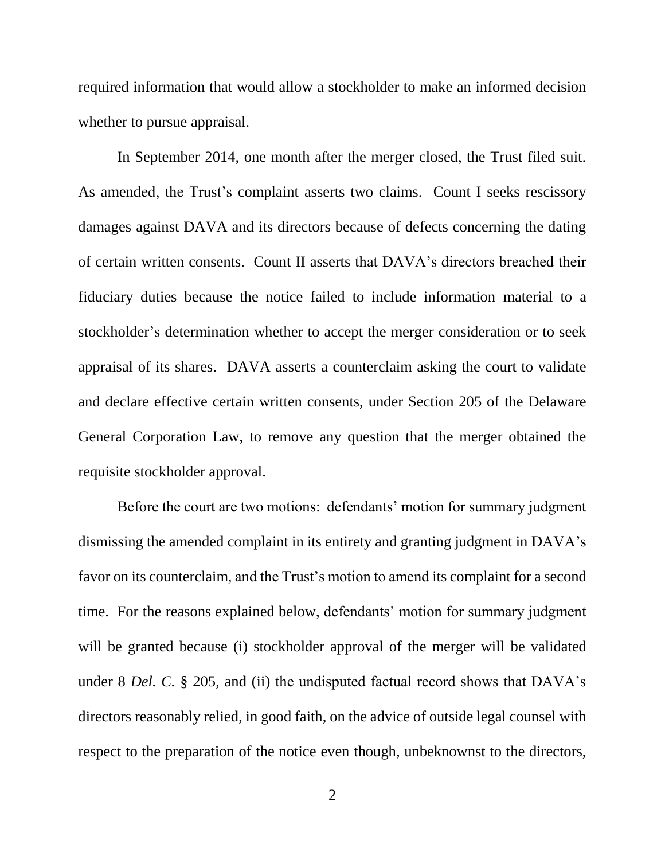required information that would allow a stockholder to make an informed decision whether to pursue appraisal.

In September 2014, one month after the merger closed, the Trust filed suit. As amended, the Trust's complaint asserts two claims. Count I seeks rescissory damages against DAVA and its directors because of defects concerning the dating of certain written consents. Count II asserts that DAVA's directors breached their fiduciary duties because the notice failed to include information material to a stockholder's determination whether to accept the merger consideration or to seek appraisal of its shares. DAVA asserts a counterclaim asking the court to validate and declare effective certain written consents, under Section 205 of the Delaware General Corporation Law, to remove any question that the merger obtained the requisite stockholder approval.

Before the court are two motions: defendants' motion for summary judgment dismissing the amended complaint in its entirety and granting judgment in DAVA's favor on its counterclaim, and the Trust's motion to amend its complaint for a second time. For the reasons explained below, defendants' motion for summary judgment will be granted because (i) stockholder approval of the merger will be validated under 8 *Del. C.* § 205, and (ii) the undisputed factual record shows that DAVA's directors reasonably relied, in good faith, on the advice of outside legal counsel with respect to the preparation of the notice even though, unbeknownst to the directors,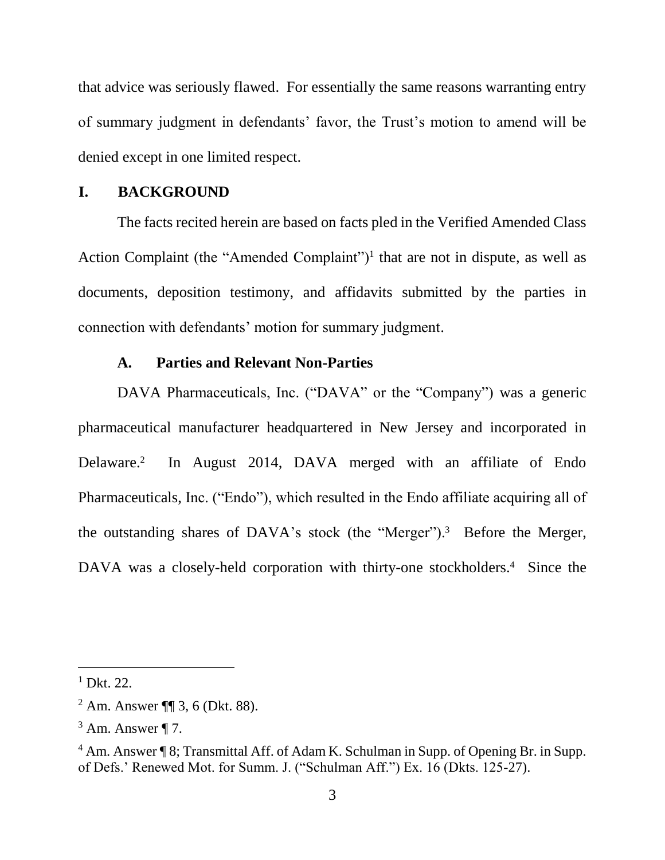that advice was seriously flawed. For essentially the same reasons warranting entry of summary judgment in defendants' favor, the Trust's motion to amend will be denied except in one limited respect.

### **I. BACKGROUND**

The facts recited herein are based on facts pled in the Verified Amended Class Action Complaint (the "Amended Complaint")<sup>1</sup> that are not in dispute, as well as documents, deposition testimony, and affidavits submitted by the parties in connection with defendants' motion for summary judgment.

#### **A. Parties and Relevant Non-Parties**

DAVA Pharmaceuticals, Inc. ("DAVA" or the "Company") was a generic pharmaceutical manufacturer headquartered in New Jersey and incorporated in Delaware.<sup>2</sup> In August 2014, DAVA merged with an affiliate of Endo Pharmaceuticals, Inc. ("Endo"), which resulted in the Endo affiliate acquiring all of the outstanding shares of DAVA's stock (the "Merger").<sup>3</sup> Before the Merger, DAVA was a closely-held corporation with thirty-one stockholders.<sup>4</sup> Since the

 $1$  Dkt. 22.

<sup>2</sup> Am. Answer ¶¶ 3, 6 (Dkt. 88).

 $3$  Am. Answer  $\P$  7.

<sup>4</sup> Am. Answer ¶ 8; Transmittal Aff. of Adam K. Schulman in Supp. of Opening Br. in Supp. of Defs.' Renewed Mot. for Summ. J. ("Schulman Aff.") Ex. 16 (Dkts. 125-27).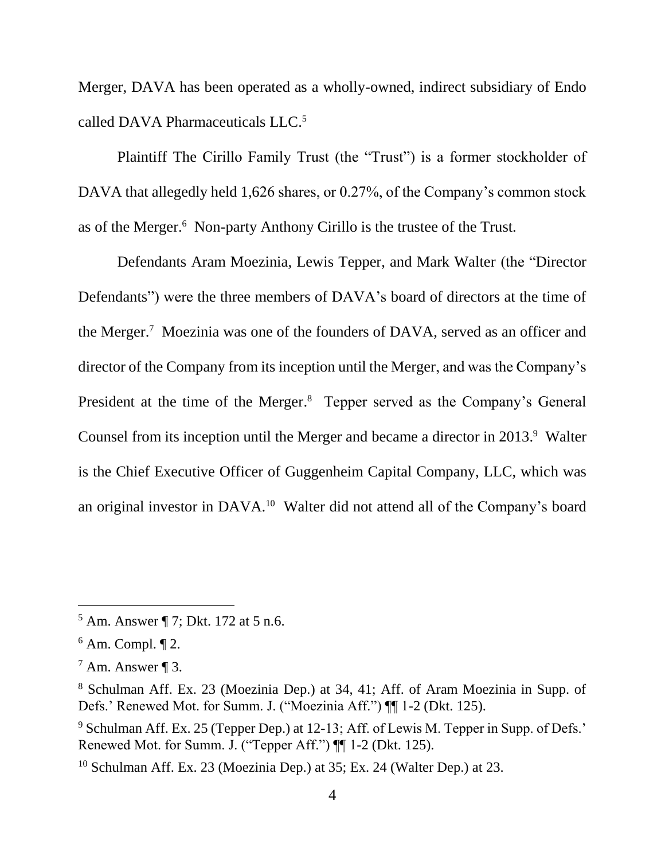Merger, DAVA has been operated as a wholly-owned, indirect subsidiary of Endo called DAVA Pharmaceuticals LLC. 5

Plaintiff The Cirillo Family Trust (the "Trust") is a former stockholder of DAVA that allegedly held 1,626 shares, or 0.27%, of the Company's common stock as of the Merger. 6 Non-party Anthony Cirillo is the trustee of the Trust.

Defendants Aram Moezinia, Lewis Tepper, and Mark Walter (the "Director Defendants") were the three members of DAVA's board of directors at the time of the Merger.<sup>7</sup> Moezinia was one of the founders of DAVA, served as an officer and director of the Company from its inception until the Merger, and was the Company's President at the time of the Merger.<sup>8</sup> Tepper served as the Company's General Counsel from its inception until the Merger and became a director in 2013.<sup>9</sup> Walter is the Chief Executive Officer of Guggenheim Capital Company, LLC, which was an original investor in DAVA.<sup>10</sup> Walter did not attend all of the Company's board

<sup>5</sup> Am. Answer ¶ 7; Dkt. 172 at 5 n.6.

 $6$  Am. Compl.  $\P$  2.

 $<sup>7</sup>$  Am. Answer ¶ 3.</sup>

<sup>8</sup> Schulman Aff. Ex. 23 (Moezinia Dep.) at 34, 41; Aff. of Aram Moezinia in Supp. of Defs.' Renewed Mot. for Summ. J. ("Moezinia Aff.") ¶¶ 1-2 (Dkt. 125).

<sup>9</sup> Schulman Aff. Ex. 25 (Tepper Dep.) at 12-13; Aff. of Lewis M. Tepper in Supp. of Defs.' Renewed Mot. for Summ. J. ("Tepper Aff.") ¶¶ 1-2 (Dkt. 125).

<sup>10</sup> Schulman Aff. Ex. 23 (Moezinia Dep.) at 35; Ex. 24 (Walter Dep.) at 23.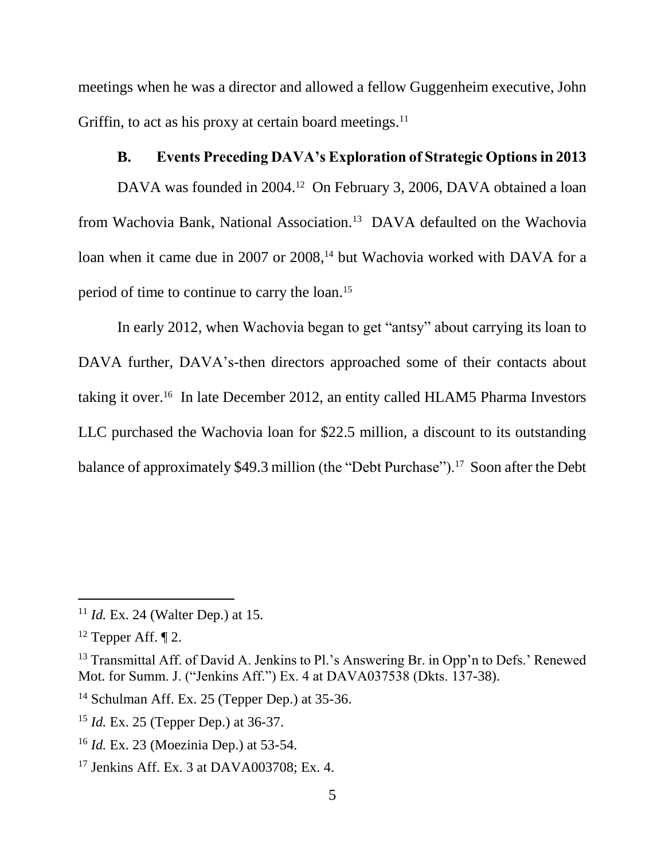meetings when he was a director and allowed a fellow Guggenheim executive, John Griffin, to act as his proxy at certain board meetings. $11$ 

# **B. Events Preceding DAVA's Exploration of Strategic Options in 2013**

DAVA was founded in 2004.<sup>12</sup> On February 3, 2006, DAVA obtained a loan from Wachovia Bank, National Association.<sup>13</sup> DAVA defaulted on the Wachovia loan when it came due in 2007 or 2008,<sup>14</sup> but Wachovia worked with DAVA for a period of time to continue to carry the loan. 15

In early 2012, when Wachovia began to get "antsy" about carrying its loan to DAVA further, DAVA's-then directors approached some of their contacts about taking it over. 16 In late December 2012, an entity called HLAM5 Pharma Investors LLC purchased the Wachovia loan for \$22.5 million, a discount to its outstanding balance of approximately \$49.3 million (the "Debt Purchase").<sup>17</sup> Soon after the Debt

<sup>11</sup> *Id.* Ex. 24 (Walter Dep.) at 15.

 $12$  Tepper Aff.  $\P$  2.

<sup>&</sup>lt;sup>13</sup> Transmittal Aff. of David A. Jenkins to Pl.'s Answering Br. in Opp'n to Defs.' Renewed Mot. for Summ. J. ("Jenkins Aff.") Ex. 4 at DAVA037538 (Dkts. 137-38).

<sup>&</sup>lt;sup>14</sup> Schulman Aff. Ex. 25 (Tepper Dep.) at 35-36.

<sup>15</sup> *Id.* Ex. 25 (Tepper Dep.) at 36-37.

<sup>16</sup> *Id.* Ex. 23 (Moezinia Dep.) at 53-54.

<sup>17</sup> Jenkins Aff. Ex. 3 at DAVA003708; Ex. 4.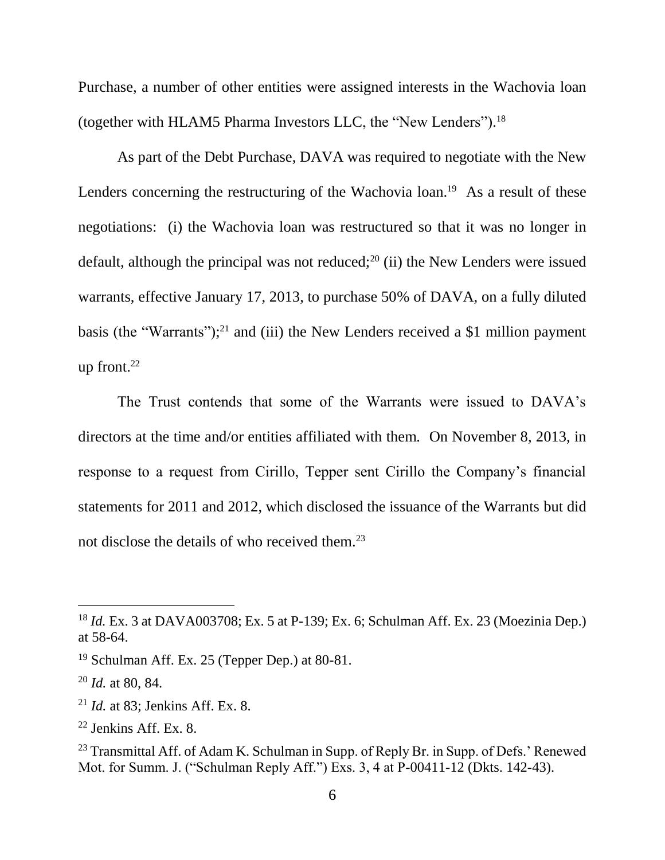Purchase, a number of other entities were assigned interests in the Wachovia loan (together with HLAM5 Pharma Investors LLC, the "New Lenders"). 18

As part of the Debt Purchase, DAVA was required to negotiate with the New Lenders concerning the restructuring of the Wachovia loan.<sup>19</sup> As a result of these negotiations: (i) the Wachovia loan was restructured so that it was no longer in default, although the principal was not reduced; $20$  (ii) the New Lenders were issued warrants, effective January 17, 2013, to purchase 50% of DAVA, on a fully diluted basis (the "Warrants");<sup>21</sup> and (iii) the New Lenders received a \$1 million payment up front. $22$ 

The Trust contends that some of the Warrants were issued to DAVA's directors at the time and/or entities affiliated with them. On November 8, 2013, in response to a request from Cirillo, Tepper sent Cirillo the Company's financial statements for 2011 and 2012, which disclosed the issuance of the Warrants but did not disclose the details of who received them. 23

<sup>18</sup> *Id.* Ex. 3 at DAVA003708; Ex. 5 at P-139; Ex. 6; Schulman Aff. Ex. 23 (Moezinia Dep.) at 58-64.

<sup>19</sup> Schulman Aff. Ex. 25 (Tepper Dep.) at 80-81.

<sup>20</sup> *Id.* at 80, 84.

<sup>21</sup> *Id.* at 83; Jenkins Aff. Ex. 8.

 $22$  Jenkins Aff. Ex. 8.

<sup>&</sup>lt;sup>23</sup> Transmittal Aff. of Adam K. Schulman in Supp. of Reply Br. in Supp. of Defs.' Renewed Mot. for Summ. J. ("Schulman Reply Aff.") Exs. 3, 4 at P-00411-12 (Dkts. 142-43).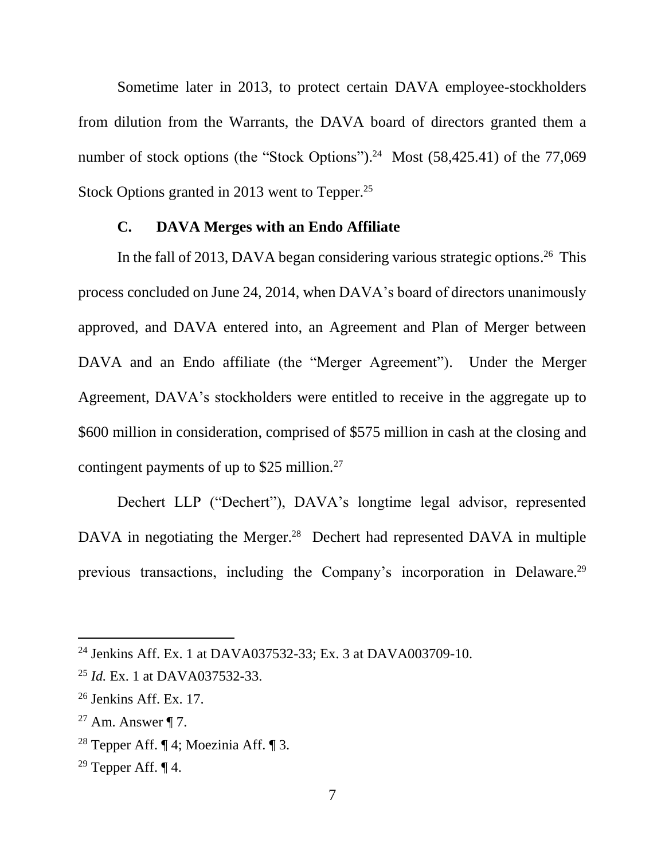Sometime later in 2013, to protect certain DAVA employee-stockholders from dilution from the Warrants, the DAVA board of directors granted them a number of stock options (the "Stock Options").<sup>24</sup> Most (58,425.41) of the 77,069 Stock Options granted in 2013 went to Tepper.<sup>25</sup>

## **C. DAVA Merges with an Endo Affiliate**

In the fall of 2013, DAVA began considering various strategic options.<sup>26</sup> This process concluded on June 24, 2014, when DAVA's board of directors unanimously approved, and DAVA entered into, an Agreement and Plan of Merger between DAVA and an Endo affiliate (the "Merger Agreement"). Under the Merger Agreement, DAVA's stockholders were entitled to receive in the aggregate up to \$600 million in consideration, comprised of \$575 million in cash at the closing and contingent payments of up to \$25 million. $^{27}$ 

Dechert LLP ("Dechert"), DAVA's longtime legal advisor, represented DAVA in negotiating the Merger.<sup>28</sup> Dechert had represented DAVA in multiple previous transactions, including the Company's incorporation in Delaware.<sup>29</sup>

<sup>24</sup> Jenkins Aff. Ex. 1 at DAVA037532-33; Ex. 3 at DAVA003709-10.

<sup>25</sup> *Id.* Ex. 1 at DAVA037532-33.

 $26$  Jenkins Aff. Ex. 17.

<sup>&</sup>lt;sup>27</sup> Am. Answer  $\P$  7.

<sup>&</sup>lt;sup>28</sup> Tepper Aff.  $\P$  4; Moezinia Aff.  $\P$  3.

<sup>&</sup>lt;sup>29</sup> Tepper Aff.  $\P$  4.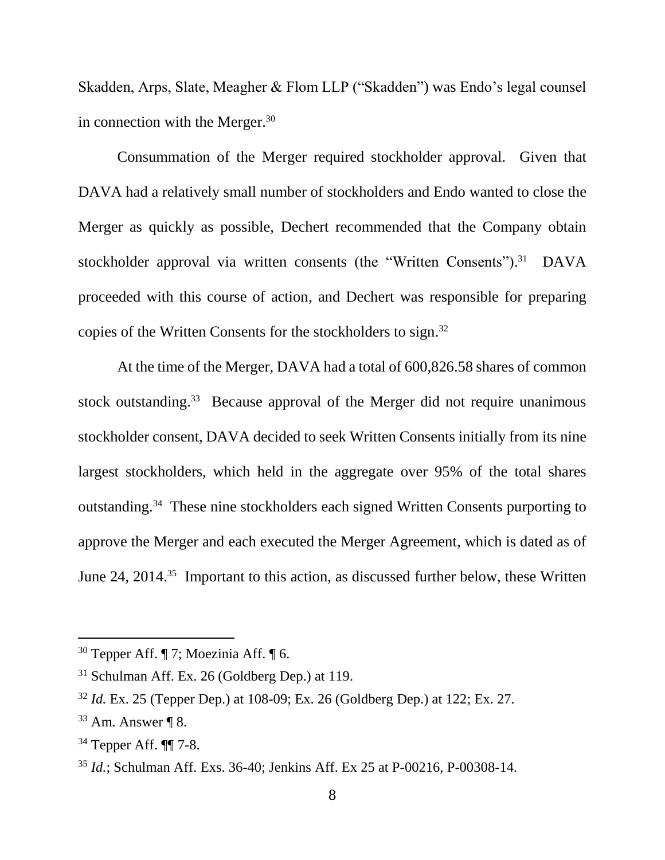Skadden, Arps, Slate, Meagher & Flom LLP ("Skadden") was Endo's legal counsel in connection with the Merger.<sup>30</sup>

Consummation of the Merger required stockholder approval. Given that DAVA had a relatively small number of stockholders and Endo wanted to close the Merger as quickly as possible, Dechert recommended that the Company obtain stockholder approval via written consents (the "Written Consents").<sup>31</sup> DAVA proceeded with this course of action, and Dechert was responsible for preparing copies of the Written Consents for the stockholders to sign. 32

At the time of the Merger, DAVA had a total of 600,826.58 shares of common stock outstanding.<sup>33</sup> Because approval of the Merger did not require unanimous stockholder consent, DAVA decided to seek Written Consents initially from its nine largest stockholders, which held in the aggregate over 95% of the total shares outstanding.<sup>34</sup> These nine stockholders each signed Written Consents purporting to approve the Merger and each executed the Merger Agreement, which is dated as of June 24, 2014.<sup>35</sup> Important to this action, as discussed further below, these Written

<sup>&</sup>lt;sup>30</sup> Tepper Aff.  $\P$  7; Moezinia Aff.  $\P$  6.

 $31$  Schulman Aff. Ex. 26 (Goldberg Dep.) at 119.

<sup>32</sup> *Id.* Ex. 25 (Tepper Dep.) at 108-09; Ex. 26 (Goldberg Dep.) at 122; Ex. 27.

 $33$  Am. Answer ¶ 8.

<sup>34</sup> Tepper Aff. ¶¶ 7-8.

<sup>35</sup> *Id.*; Schulman Aff. Exs. 36-40; Jenkins Aff. Ex 25 at P-00216, P-00308-14.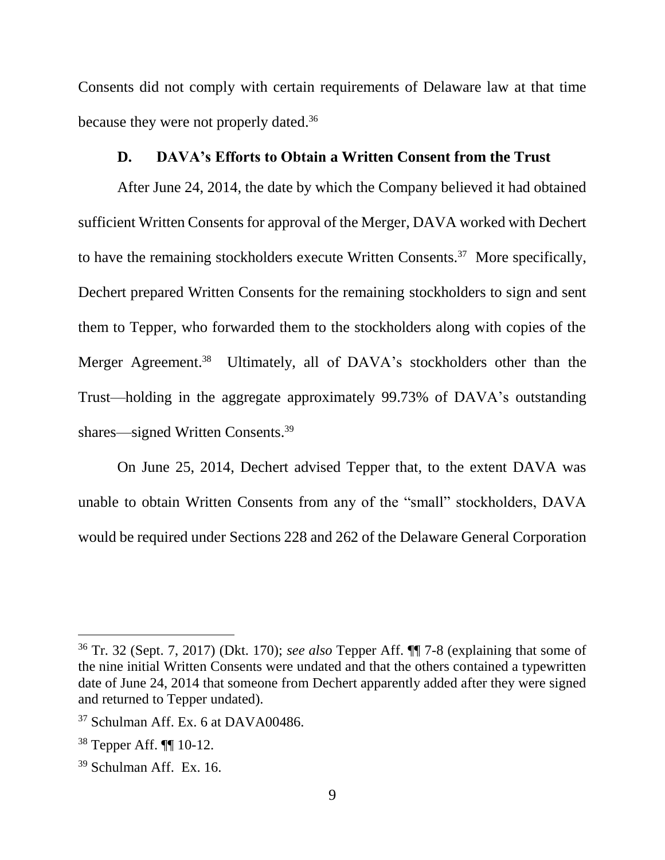Consents did not comply with certain requirements of Delaware law at that time because they were not properly dated.<sup>36</sup>

## **D. DAVA's Efforts to Obtain a Written Consent from the Trust**

After June 24, 2014, the date by which the Company believed it had obtained sufficient Written Consents for approval of the Merger, DAVA worked with Dechert to have the remaining stockholders execute Written Consents.<sup>37</sup> More specifically, Dechert prepared Written Consents for the remaining stockholders to sign and sent them to Tepper, who forwarded them to the stockholders along with copies of the Merger Agreement.<sup>38</sup> Ultimately, all of DAVA's stockholders other than the Trust—holding in the aggregate approximately 99.73% of DAVA's outstanding shares—signed Written Consents.<sup>39</sup>

On June 25, 2014, Dechert advised Tepper that, to the extent DAVA was unable to obtain Written Consents from any of the "small" stockholders, DAVA would be required under Sections 228 and 262 of the Delaware General Corporation

<sup>36</sup> Tr. 32 (Sept. 7, 2017) (Dkt. 170); *see also* Tepper Aff. ¶¶ 7-8 (explaining that some of the nine initial Written Consents were undated and that the others contained a typewritten date of June 24, 2014 that someone from Dechert apparently added after they were signed and returned to Tepper undated).

<sup>&</sup>lt;sup>37</sup> Schulman Aff. Ex. 6 at DAVA00486.

<sup>38</sup> Tepper Aff. ¶¶ 10-12.

<sup>39</sup> Schulman Aff. Ex. 16.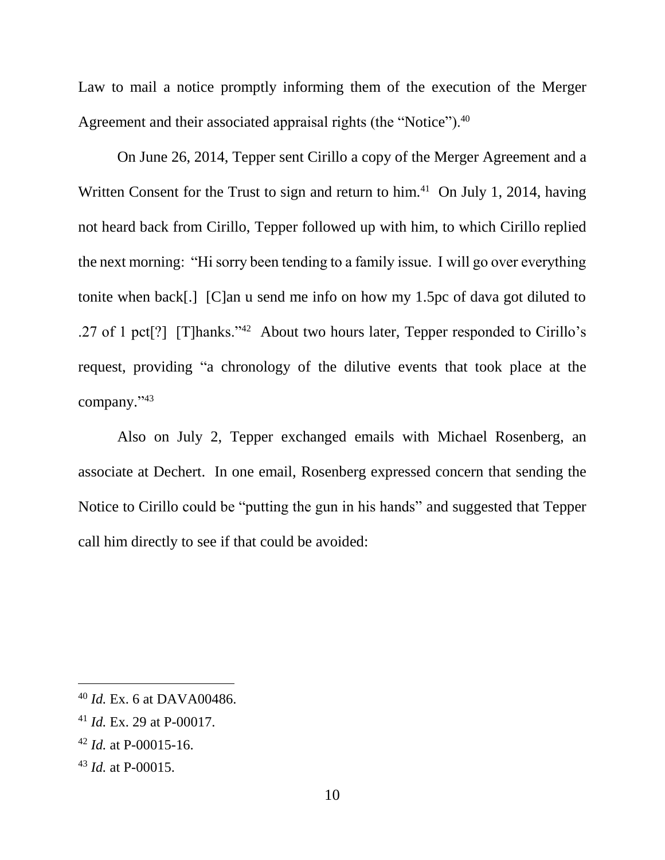Law to mail a notice promptly informing them of the execution of the Merger Agreement and their associated appraisal rights (the "Notice").<sup>40</sup>

On June 26, 2014, Tepper sent Cirillo a copy of the Merger Agreement and a Written Consent for the Trust to sign and return to him.<sup>41</sup> On July 1, 2014, having not heard back from Cirillo, Tepper followed up with him, to which Cirillo replied the next morning: "Hi sorry been tending to a family issue. I will go over everything tonite when back[.] [C]an u send me info on how my 1.5pc of dava got diluted to .27 of 1 pct[?] [T]hanks."<sup>42</sup> About two hours later, Tepper responded to Cirillo's request, providing "a chronology of the dilutive events that took place at the company." 43

Also on July 2, Tepper exchanged emails with Michael Rosenberg, an associate at Dechert. In one email, Rosenberg expressed concern that sending the Notice to Cirillo could be "putting the gun in his hands" and suggested that Tepper call him directly to see if that could be avoided:

<sup>40</sup> *Id.* Ex. 6 at DAVA00486.

<sup>41</sup> *Id.* Ex. 29 at P-00017.

<sup>42</sup> *Id.* at P-00015-16.

<sup>43</sup> *Id.* at P-00015.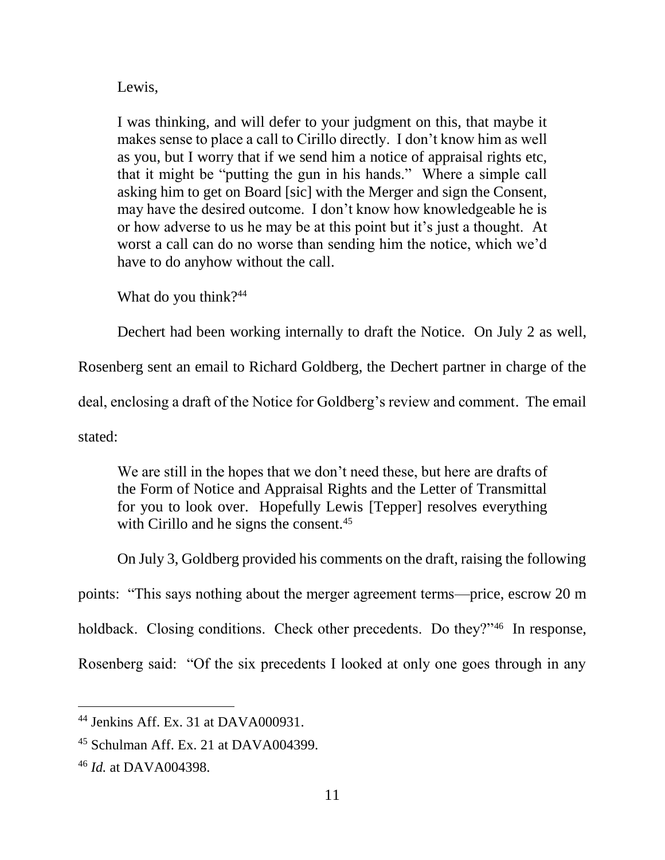Lewis,

I was thinking, and will defer to your judgment on this, that maybe it makes sense to place a call to Cirillo directly. I don't know him as well as you, but I worry that if we send him a notice of appraisal rights etc, that it might be "putting the gun in his hands." Where a simple call asking him to get on Board [sic] with the Merger and sign the Consent, may have the desired outcome. I don't know how knowledgeable he is or how adverse to us he may be at this point but it's just a thought. At worst a call can do no worse than sending him the notice, which we'd have to do anyhow without the call.

What do you think?<sup>44</sup>

Dechert had been working internally to draft the Notice. On July 2 as well,

Rosenberg sent an email to Richard Goldberg, the Dechert partner in charge of the

deal, enclosing a draft of the Notice for Goldberg's review and comment. The email

stated:

 $\overline{a}$ 

We are still in the hopes that we don't need these, but here are drafts of the Form of Notice and Appraisal Rights and the Letter of Transmittal for you to look over. Hopefully Lewis [Tepper] resolves everything with Cirillo and he signs the consent.<sup>45</sup>

On July 3, Goldberg provided his comments on the draft, raising the following

points: "This says nothing about the merger agreement terms—price, escrow 20 m

holdback. Closing conditions. Check other precedents. Do they?"<sup>46</sup> In response,

Rosenberg said: "Of the six precedents I looked at only one goes through in any

<sup>44</sup> Jenkins Aff. Ex. 31 at DAVA000931.

<sup>45</sup> Schulman Aff. Ex. 21 at DAVA004399.

<sup>46</sup> *Id.* at DAVA004398.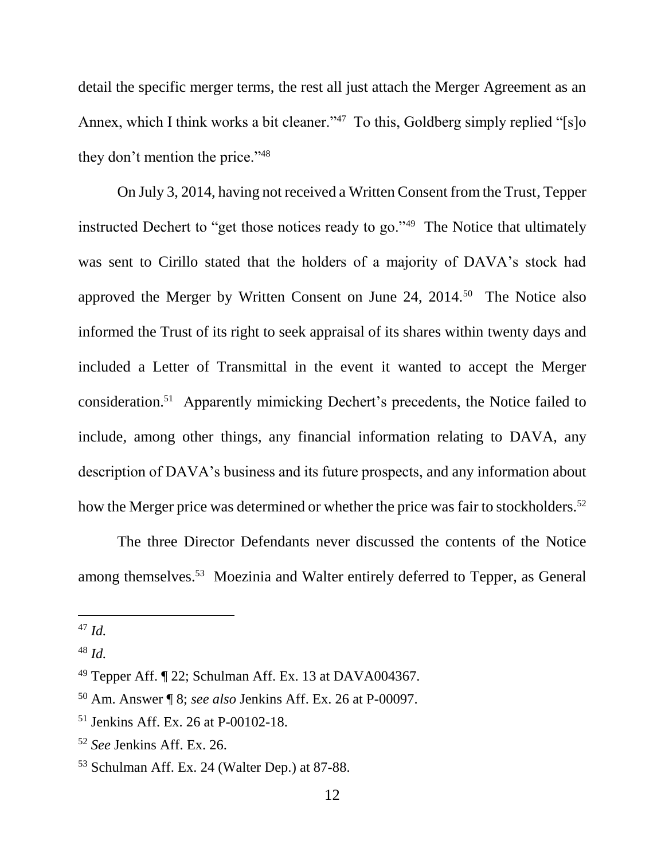detail the specific merger terms, the rest all just attach the Merger Agreement as an Annex, which I think works a bit cleaner."<sup>47</sup> To this, Goldberg simply replied "[s]o they don't mention the price."<sup>48</sup>

On July 3, 2014, having not received a Written Consent from the Trust, Tepper instructed Dechert to "get those notices ready to go."<sup>49</sup> The Notice that ultimately was sent to Cirillo stated that the holders of a majority of DAVA's stock had approved the Merger by Written Consent on June 24, 2014.<sup>50</sup> The Notice also informed the Trust of its right to seek appraisal of its shares within twenty days and included a Letter of Transmittal in the event it wanted to accept the Merger consideration.<sup>51</sup> Apparently mimicking Dechert's precedents, the Notice failed to include, among other things, any financial information relating to DAVA, any description of DAVA's business and its future prospects, and any information about how the Merger price was determined or whether the price was fair to stockholders.<sup>52</sup>

The three Director Defendants never discussed the contents of the Notice among themselves.<sup>53</sup> Moezinia and Walter entirely deferred to Tepper, as General

<sup>47</sup> *Id.*

<sup>48</sup> *Id.*

<sup>49</sup> Tepper Aff. ¶ 22; Schulman Aff. Ex. 13 at DAVA004367.

<sup>50</sup> Am. Answer ¶ 8; *see also* Jenkins Aff. Ex. 26 at P-00097.

<sup>51</sup> Jenkins Aff. Ex. 26 at P-00102-18.

<sup>52</sup> *See* Jenkins Aff. Ex. 26.

<sup>53</sup> Schulman Aff. Ex. 24 (Walter Dep.) at 87-88.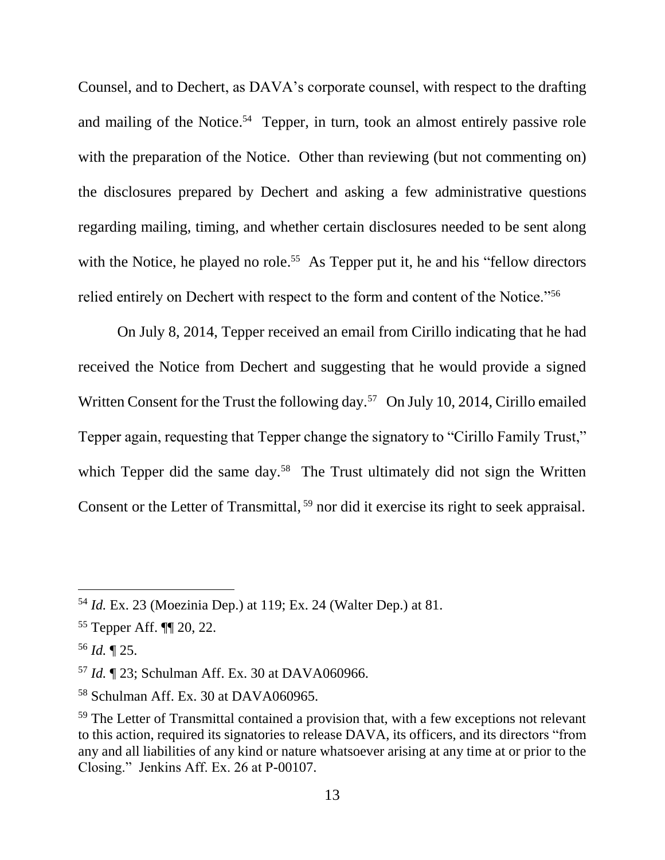Counsel, and to Dechert, as DAVA's corporate counsel, with respect to the drafting and mailing of the Notice. 54 Tepper, in turn, took an almost entirely passive role with the preparation of the Notice. Other than reviewing (but not commenting on) the disclosures prepared by Dechert and asking a few administrative questions regarding mailing, timing, and whether certain disclosures needed to be sent along with the Notice, he played no role.<sup>55</sup> As Tepper put it, he and his "fellow directors" relied entirely on Dechert with respect to the form and content of the Notice."<sup>56</sup>

On July 8, 2014, Tepper received an email from Cirillo indicating that he had received the Notice from Dechert and suggesting that he would provide a signed Written Consent for the Trust the following day.<sup>57</sup> On July 10, 2014, Cirillo emailed Tepper again, requesting that Tepper change the signatory to "Cirillo Family Trust," which Tepper did the same day.<sup>58</sup> The Trust ultimately did not sign the Written Consent or the Letter of Transmittal, <sup>59</sup> nor did it exercise its right to seek appraisal.

<sup>54</sup> *Id.* Ex. 23 (Moezinia Dep.) at 119; Ex. 24 (Walter Dep.) at 81.

<sup>55</sup> Tepper Aff. ¶¶ 20, 22.

<sup>56</sup> *Id.* ¶ 25.

<sup>57</sup> *Id.* ¶ 23; Schulman Aff. Ex. 30 at DAVA060966.

<sup>58</sup> Schulman Aff. Ex. 30 at DAVA060965.

 $59$  The Letter of Transmittal contained a provision that, with a few exceptions not relevant to this action, required its signatories to release DAVA, its officers, and its directors "from any and all liabilities of any kind or nature whatsoever arising at any time at or prior to the Closing." Jenkins Aff. Ex. 26 at P-00107.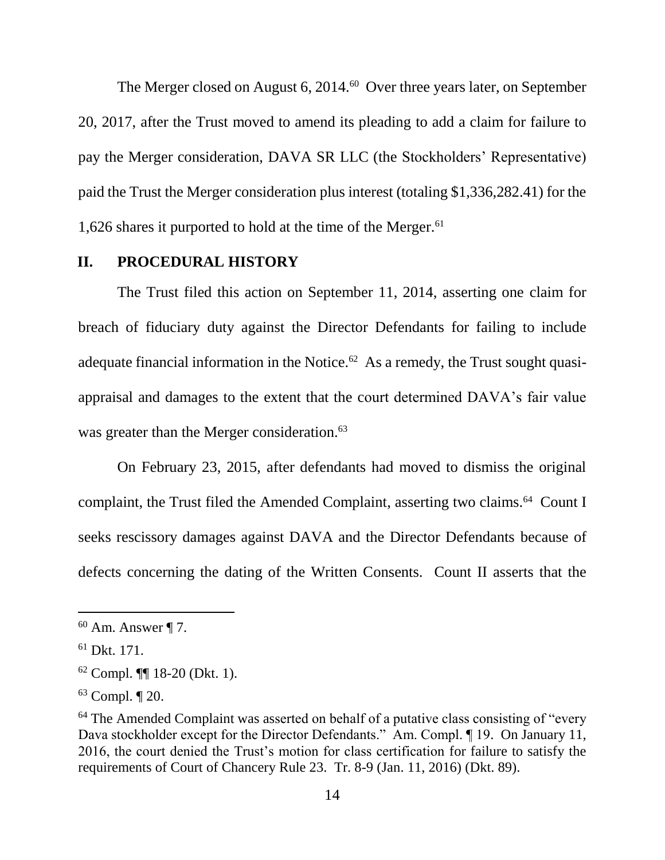The Merger closed on August 6, 2014.<sup>60</sup> Over three years later, on September 20, 2017, after the Trust moved to amend its pleading to add a claim for failure to pay the Merger consideration, DAVA SR LLC (the Stockholders' Representative) paid the Trust the Merger consideration plus interest (totaling \$1,336,282.41) for the 1,626 shares it purported to hold at the time of the Merger.<sup>61</sup>

### **II. PROCEDURAL HISTORY**

The Trust filed this action on September 11, 2014, asserting one claim for breach of fiduciary duty against the Director Defendants for failing to include adequate financial information in the Notice. $62$  As a remedy, the Trust sought quasiappraisal and damages to the extent that the court determined DAVA's fair value was greater than the Merger consideration.<sup>63</sup>

On February 23, 2015, after defendants had moved to dismiss the original complaint, the Trust filed the Amended Complaint, asserting two claims.<sup>64</sup> Count I seeks rescissory damages against DAVA and the Director Defendants because of defects concerning the dating of the Written Consents. Count II asserts that the

 $60$  Am. Answer ¶ 7.

<sup>61</sup> Dkt. 171.

<sup>62</sup> Compl. ¶¶ 18-20 (Dkt. 1).

<sup>63</sup> Compl. ¶ 20.

<sup>&</sup>lt;sup>64</sup> The Amended Complaint was asserted on behalf of a putative class consisting of "every" Dava stockholder except for the Director Defendants." Am. Compl. ¶ 19. On January 11, 2016, the court denied the Trust's motion for class certification for failure to satisfy the requirements of Court of Chancery Rule 23. Tr. 8-9 (Jan. 11, 2016) (Dkt. 89).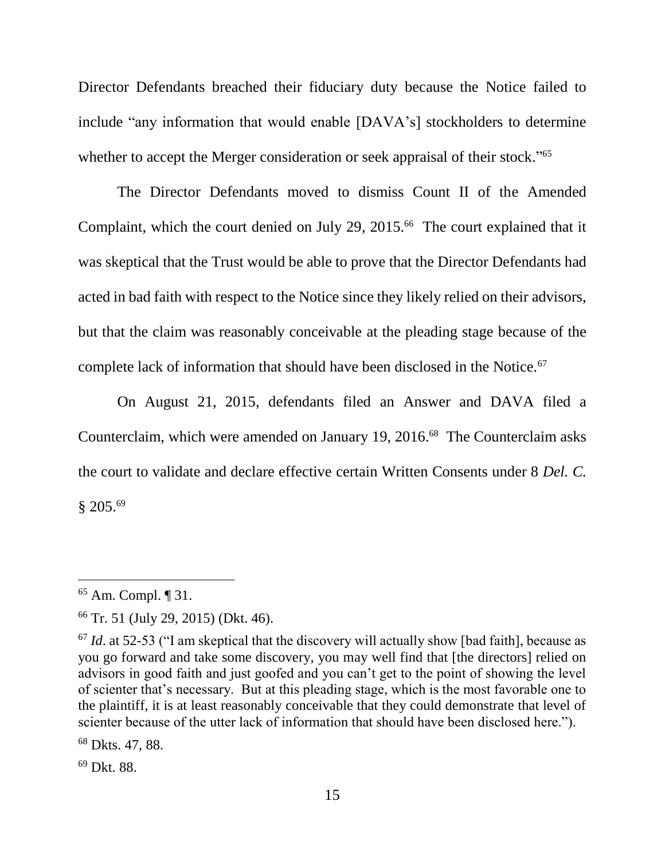Director Defendants breached their fiduciary duty because the Notice failed to include "any information that would enable [DAVA's] stockholders to determine whether to accept the Merger consideration or seek appraisal of their stock."<sup>65</sup>

The Director Defendants moved to dismiss Count II of the Amended Complaint, which the court denied on July 29, 2015.<sup>66</sup> The court explained that it was skeptical that the Trust would be able to prove that the Director Defendants had acted in bad faith with respect to the Notice since they likely relied on their advisors, but that the claim was reasonably conceivable at the pleading stage because of the complete lack of information that should have been disclosed in the Notice.<sup>67</sup>

On August 21, 2015, defendants filed an Answer and DAVA filed a Counterclaim, which were amended on January 19, 2016.<sup>68</sup> The Counterclaim asks the court to validate and declare effective certain Written Consents under 8 *Del. C.*  § 205. 69

 $\overline{a}$ 

<sup>69</sup> Dkt. 88.

<sup>65</sup> Am. Compl. ¶ 31.

<sup>66</sup> Tr. 51 (July 29, 2015) (Dkt. 46).

<sup>67</sup> *Id*. at 52-53 ("I am skeptical that the discovery will actually show [bad faith], because as you go forward and take some discovery, you may well find that [the directors] relied on advisors in good faith and just goofed and you can't get to the point of showing the level of scienter that's necessary. But at this pleading stage, which is the most favorable one to the plaintiff, it is at least reasonably conceivable that they could demonstrate that level of scienter because of the utter lack of information that should have been disclosed here.").

<sup>68</sup> Dkts. 47, 88.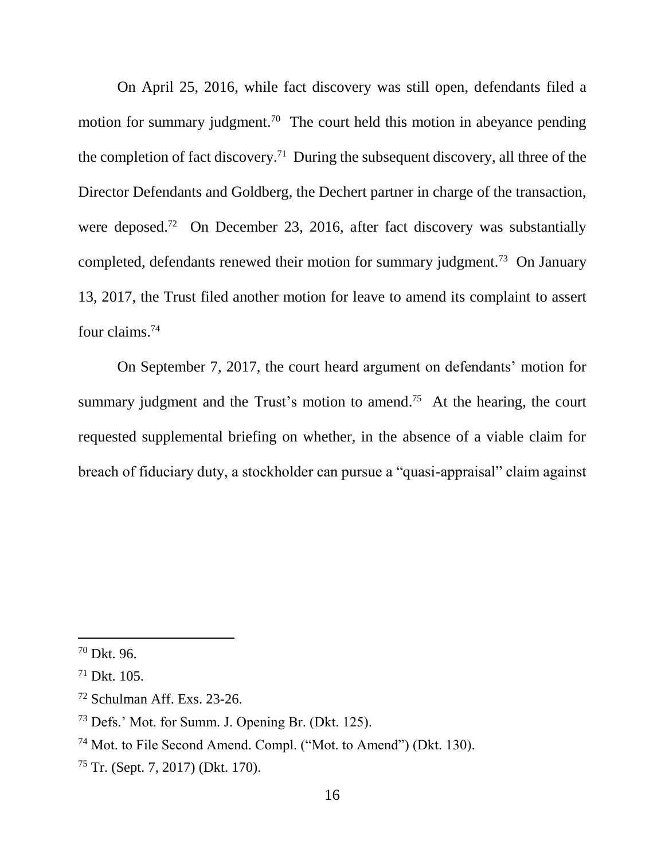On April 25, 2016, while fact discovery was still open, defendants filed a motion for summary judgment.<sup>70</sup> The court held this motion in abeyance pending the completion of fact discovery.<sup>71</sup> During the subsequent discovery, all three of the Director Defendants and Goldberg, the Dechert partner in charge of the transaction, were deposed.<sup>72</sup> On December 23, 2016, after fact discovery was substantially completed, defendants renewed their motion for summary judgment.<sup>73</sup> On January 13, 2017, the Trust filed another motion for leave to amend its complaint to assert four claims. 74

On September 7, 2017, the court heard argument on defendants' motion for summary judgment and the Trust's motion to amend.<sup>75</sup> At the hearing, the court requested supplemental briefing on whether, in the absence of a viable claim for breach of fiduciary duty, a stockholder can pursue a "quasi-appraisal" claim against

<sup>70</sup> Dkt. 96.

 $71$  Dkt. 105.

<sup>72</sup> Schulman Aff. Exs. 23-26.

<sup>73</sup> Defs.' Mot. for Summ. J. Opening Br. (Dkt. 125).

<sup>74</sup> Mot. to File Second Amend. Compl. ("Mot. to Amend") (Dkt. 130).

<sup>75</sup> Tr. (Sept. 7, 2017) (Dkt. 170).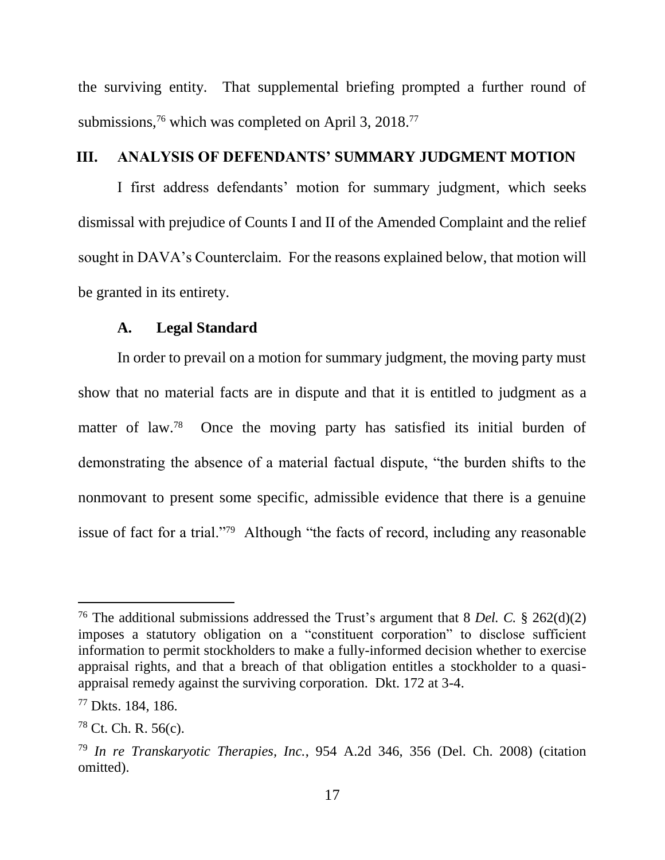the surviving entity. That supplemental briefing prompted a further round of submissions,<sup>76</sup> which was completed on April 3, 2018.<sup>77</sup>

## **III. ANALYSIS OF DEFENDANTS' SUMMARY JUDGMENT MOTION**

I first address defendants' motion for summary judgment, which seeks dismissal with prejudice of Counts I and II of the Amended Complaint and the relief sought in DAVA's Counterclaim. For the reasons explained below, that motion will be granted in its entirety.

#### **A. Legal Standard**

In order to prevail on a motion for summary judgment, the moving party must show that no material facts are in dispute and that it is entitled to judgment as a matter of law.<sup>78</sup> Once the moving party has satisfied its initial burden of demonstrating the absence of a material factual dispute, "the burden shifts to the nonmovant to present some specific, admissible evidence that there is a genuine issue of fact for a trial."<sup>79</sup> Although "the facts of record, including any reasonable

<sup>76</sup> The additional submissions addressed the Trust's argument that 8 *Del. C.* § 262(d)(2) imposes a statutory obligation on a "constituent corporation" to disclose sufficient information to permit stockholders to make a fully-informed decision whether to exercise appraisal rights, and that a breach of that obligation entitles a stockholder to a quasiappraisal remedy against the surviving corporation. Dkt. 172 at 3-4.

<sup>77</sup> Dkts. 184, 186.

 $78$  Ct. Ch. R. 56(c).

<sup>79</sup> *In re Transkaryotic Therapies, Inc.*, 954 A.2d 346, 356 (Del. Ch. 2008) (citation omitted).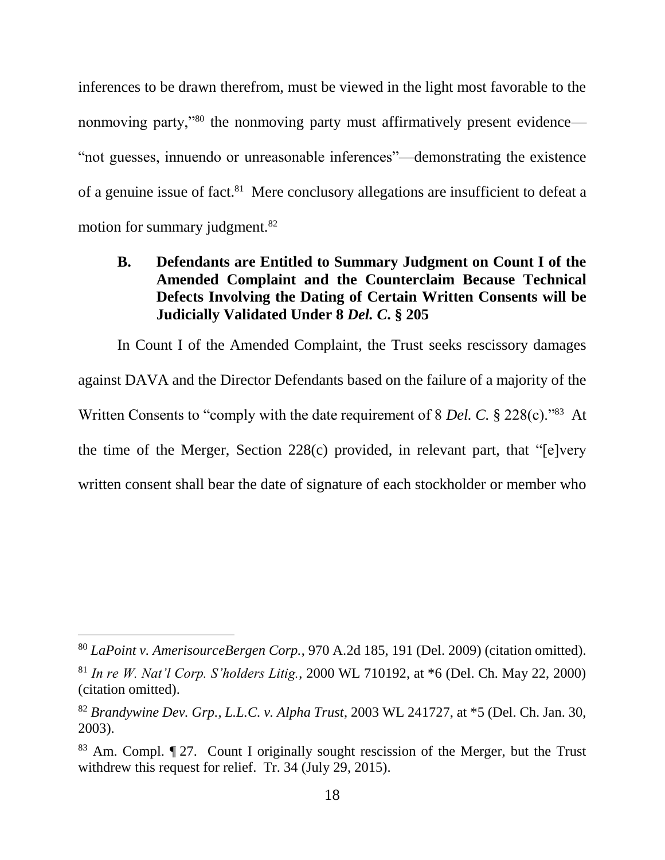inferences to be drawn therefrom, must be viewed in the light most favorable to the nonmoving party,"<sup>80</sup> the nonmoving party must affirmatively present evidence— "not guesses, innuendo or unreasonable inferences"—demonstrating the existence of a genuine issue of fact.<sup>81</sup> Mere conclusory allegations are insufficient to defeat a motion for summary judgment.<sup>82</sup>

## **B. Defendants are Entitled to Summary Judgment on Count I of the Amended Complaint and the Counterclaim Because Technical Defects Involving the Dating of Certain Written Consents will be Judicially Validated Under 8** *Del. C***. § 205**

In Count I of the Amended Complaint, the Trust seeks rescissory damages against DAVA and the Director Defendants based on the failure of a majority of the Written Consents to "comply with the date requirement of 8 *Del. C*. § 228(c)."<sup>83</sup> At the time of the Merger, Section 228(c) provided, in relevant part, that "[e]very written consent shall bear the date of signature of each stockholder or member who

<sup>80</sup> *LaPoint v. AmerisourceBergen Corp.*, 970 A.2d 185, 191 (Del. 2009) (citation omitted).

<sup>81</sup> *In re W. Nat'l Corp. S'holders Litig.*, 2000 WL 710192, at \*6 (Del. Ch. May 22, 2000) (citation omitted).

<sup>82</sup> *Brandywine Dev. Grp., L.L.C. v. Alpha Trust*, 2003 WL 241727, at \*5 (Del. Ch. Jan. 30, 2003).

<sup>83</sup> Am. Compl. ¶ 27. Count I originally sought rescission of the Merger, but the Trust withdrew this request for relief. Tr. 34 (July 29, 2015).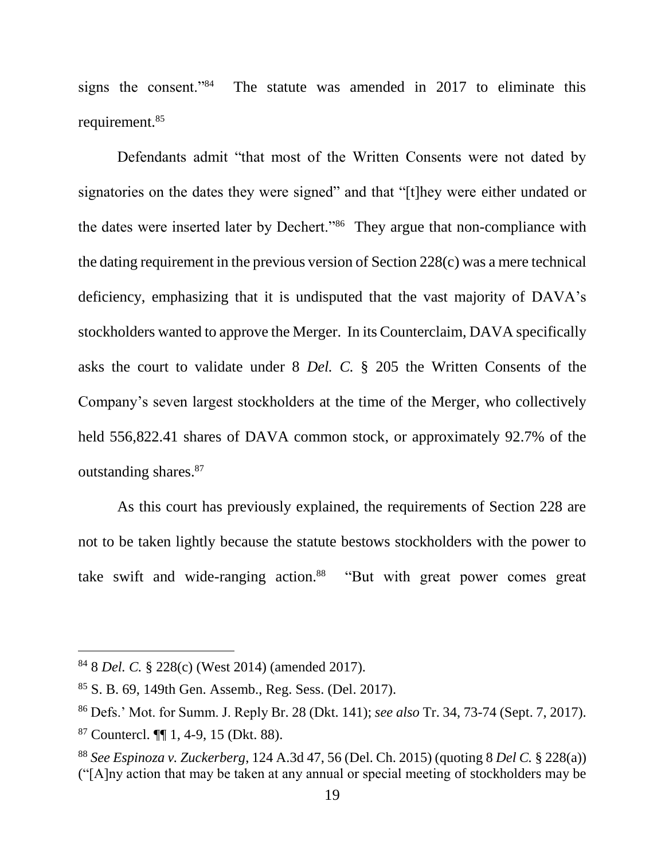signs the consent."<sup>84</sup> The statute was amended in 2017 to eliminate this requirement.<sup>85</sup>

Defendants admit "that most of the Written Consents were not dated by signatories on the dates they were signed" and that "[t]hey were either undated or the dates were inserted later by Dechert."<sup>86</sup> They argue that non-compliance with the dating requirement in the previous version of Section 228(c) was a mere technical deficiency, emphasizing that it is undisputed that the vast majority of DAVA's stockholders wanted to approve the Merger. In its Counterclaim, DAVA specifically asks the court to validate under 8 *Del. C.* § 205 the Written Consents of the Company's seven largest stockholders at the time of the Merger, who collectively held 556,822.41 shares of DAVA common stock, or approximately 92.7% of the outstanding shares.<sup>87</sup>

As this court has previously explained, the requirements of Section 228 are not to be taken lightly because the statute bestows stockholders with the power to take swift and wide-ranging action.<sup>88</sup> "But with great power comes great

<sup>84</sup> 8 *Del. C.* § 228(c) (West 2014) (amended 2017).

<sup>85</sup> S. B. 69, 149th Gen. Assemb., Reg. Sess. (Del. 2017).

<sup>86</sup> Defs.' Mot. for Summ. J. Reply Br. 28 (Dkt. 141); *see also* Tr. 34, 73-74 (Sept. 7, 2017).

<sup>87</sup> Countercl. ¶¶ 1, 4-9, 15 (Dkt. 88).

<sup>88</sup> *See Espinoza v. Zuckerberg*, 124 A.3d 47, 56 (Del. Ch. 2015) (quoting 8 *Del C.* § 228(a)) ("[A]ny action that may be taken at any annual or special meeting of stockholders may be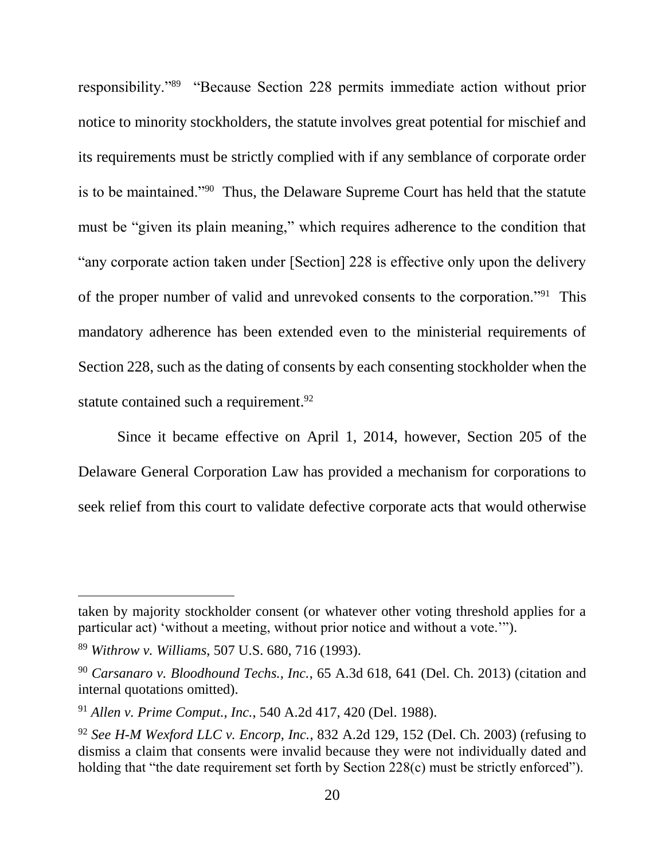responsibility."<sup>89</sup> "Because Section 228 permits immediate action without prior notice to minority stockholders, the statute involves great potential for mischief and its requirements must be strictly complied with if any semblance of corporate order is to be maintained."<sup>90</sup> Thus, the Delaware Supreme Court has held that the statute must be "given its plain meaning," which requires adherence to the condition that "any corporate action taken under [Section] 228 is effective only upon the delivery of the proper number of valid and unrevoked consents to the corporation."<sup>91</sup> This mandatory adherence has been extended even to the ministerial requirements of Section 228, such as the dating of consents by each consenting stockholder when the statute contained such a requirement.<sup>92</sup>

Since it became effective on April 1, 2014, however, Section 205 of the Delaware General Corporation Law has provided a mechanism for corporations to seek relief from this court to validate defective corporate acts that would otherwise

taken by majority stockholder consent (or whatever other voting threshold applies for a particular act) 'without a meeting, without prior notice and without a vote.'").

<sup>89</sup> *Withrow v. Williams*, 507 U.S. 680, 716 (1993).

<sup>90</sup> *Carsanaro v. Bloodhound Techs., Inc.*, 65 A.3d 618, 641 (Del. Ch. 2013) (citation and internal quotations omitted).

<sup>91</sup> *Allen v. Prime Comput., Inc.*, 540 A.2d 417, 420 (Del. 1988).

<sup>92</sup> *See H-M Wexford LLC v. Encorp, Inc.*, 832 A.2d 129, 152 (Del. Ch. 2003) (refusing to dismiss a claim that consents were invalid because they were not individually dated and holding that "the date requirement set forth by Section 228(c) must be strictly enforced").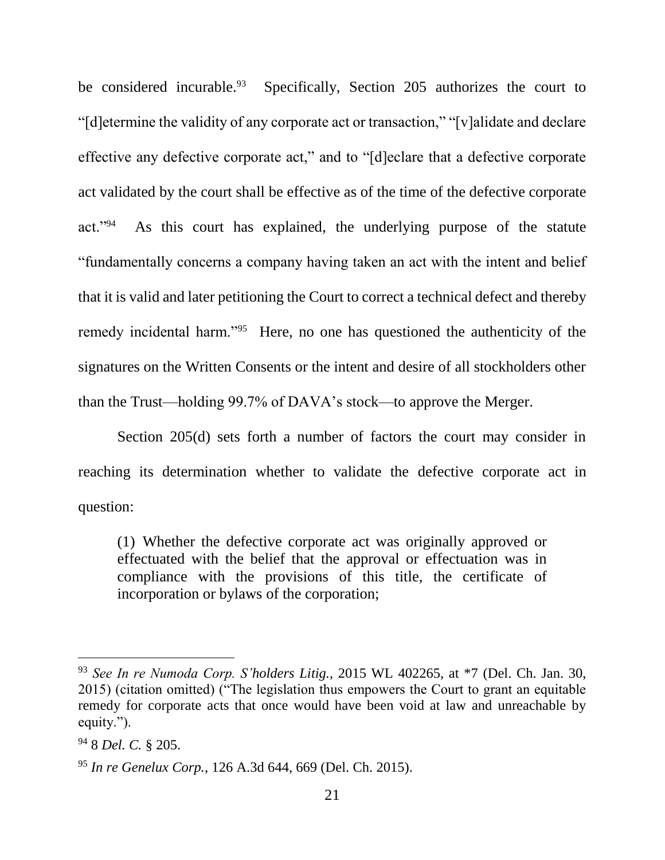be considered incurable.<sup>93</sup> Specifically, Section 205 authorizes the court to "[d]etermine the validity of any corporate act or transaction," "[v]alidate and declare effective any defective corporate act," and to "[d]eclare that a defective corporate act validated by the court shall be effective as of the time of the defective corporate act."<sup>94</sup> As this court has explained, the underlying purpose of the statute "fundamentally concerns a company having taken an act with the intent and belief that it is valid and later petitioning the Court to correct a technical defect and thereby remedy incidental harm."<sup>95</sup> Here, no one has questioned the authenticity of the signatures on the Written Consents or the intent and desire of all stockholders other than the Trust—holding 99.7% of DAVA's stock—to approve the Merger.

Section 205(d) sets forth a number of factors the court may consider in reaching its determination whether to validate the defective corporate act in question:

(1) Whether the defective corporate act was originally approved or effectuated with the belief that the approval or effectuation was in compliance with the provisions of this title, the certificate of incorporation or bylaws of the corporation;

<sup>93</sup> *See In re Numoda Corp. S'holders Litig.*, 2015 WL 402265, at \*7 (Del. Ch. Jan. 30, 2015) (citation omitted) ("The legislation thus empowers the Court to grant an equitable remedy for corporate acts that once would have been void at law and unreachable by equity.").

<sup>94</sup> 8 *Del. C.* § 205.

<sup>95</sup> *In re Genelux Corp.*, 126 A.3d 644, 669 (Del. Ch. 2015).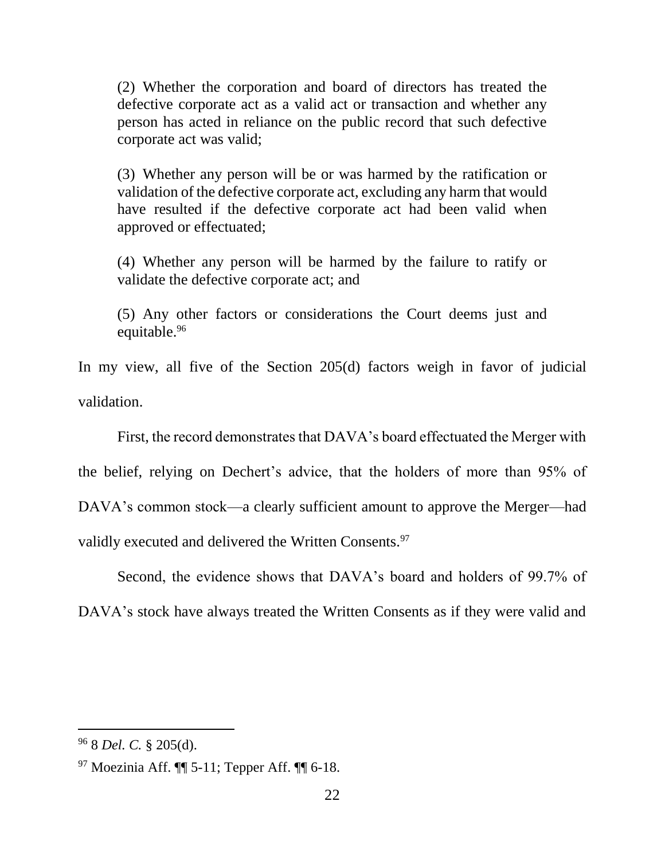(2) Whether the corporation and board of directors has treated the defective corporate act as a valid act or transaction and whether any person has acted in reliance on the public record that such defective corporate act was valid;

(3) Whether any person will be or was harmed by the ratification or validation of the defective corporate act, excluding any harm that would have resulted if the defective corporate act had been valid when approved or effectuated;

(4) Whether any person will be harmed by the failure to ratify or validate the defective corporate act; and

(5) Any other factors or considerations the Court deems just and equitable.<sup>96</sup>

In my view, all five of the Section 205(d) factors weigh in favor of judicial validation.

First, the record demonstrates that DAVA's board effectuated the Merger with

the belief, relying on Dechert's advice, that the holders of more than 95% of

DAVA's common stock—a clearly sufficient amount to approve the Merger—had

validly executed and delivered the Written Consents.<sup>97</sup>

Second, the evidence shows that DAVA's board and holders of 99.7% of DAVA's stock have always treated the Written Consents as if they were valid and

<sup>96</sup> 8 *Del. C.* § 205(d).

 $97$  Moezinia Aff.  $\P\P$  5-11; Tepper Aff.  $\P$  6-18.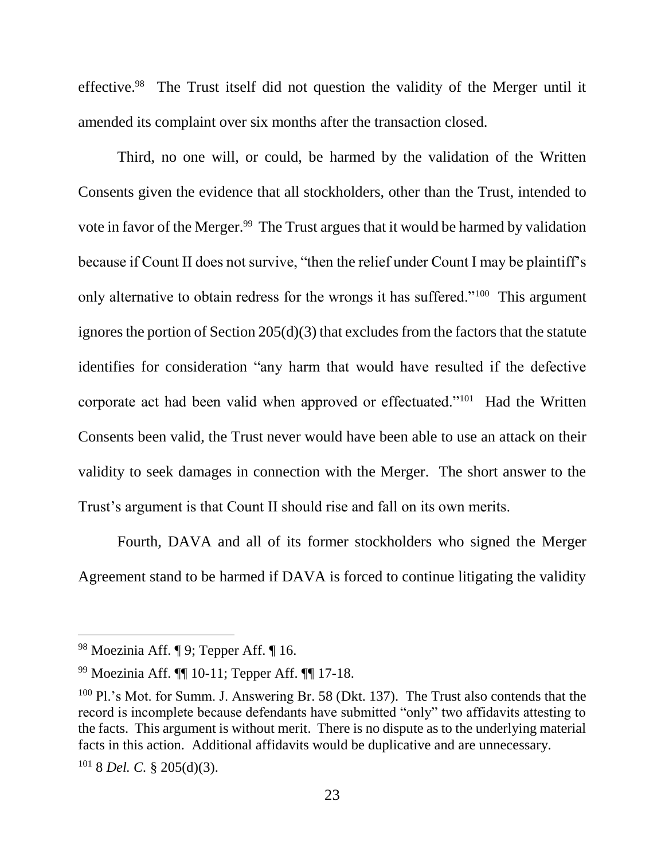effective.<sup>98</sup> The Trust itself did not question the validity of the Merger until it amended its complaint over six months after the transaction closed.

Third, no one will, or could, be harmed by the validation of the Written Consents given the evidence that all stockholders, other than the Trust, intended to vote in favor of the Merger.<sup>99</sup> The Trust argues that it would be harmed by validation because if Count II does not survive, "then the relief under Count I may be plaintiff's only alternative to obtain redress for the wrongs it has suffered."<sup>100</sup> This argument ignores the portion of Section 205(d)(3) that excludes from the factors that the statute identifies for consideration "any harm that would have resulted if the defective corporate act had been valid when approved or effectuated."<sup>101</sup> Had the Written Consents been valid, the Trust never would have been able to use an attack on their validity to seek damages in connection with the Merger. The short answer to the Trust's argument is that Count II should rise and fall on its own merits.

Fourth, DAVA and all of its former stockholders who signed the Merger Agreement stand to be harmed if DAVA is forced to continue litigating the validity

<sup>98</sup> Moezinia Aff. ¶ 9; Tepper Aff. ¶ 16.

<sup>99</sup> Moezinia Aff. ¶¶ 10-11; Tepper Aff. ¶¶ 17-18.

<sup>&</sup>lt;sup>100</sup> Pl.'s Mot. for Summ. J. Answering Br. 58 (Dkt. 137). The Trust also contends that the record is incomplete because defendants have submitted "only" two affidavits attesting to the facts. This argument is without merit. There is no dispute as to the underlying material facts in this action. Additional affidavits would be duplicative and are unnecessary.

<sup>101</sup> 8 *Del. C.* § 205(d)(3).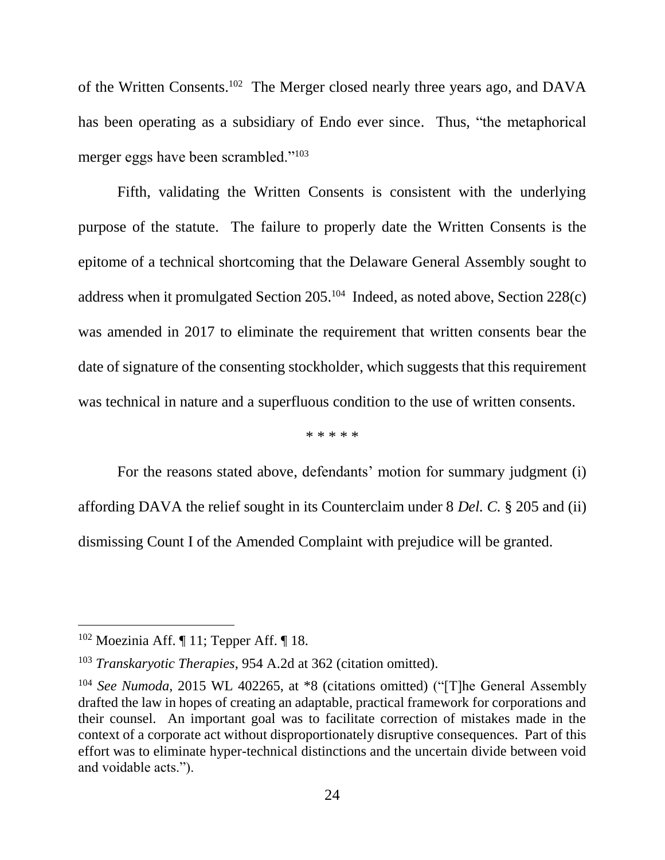of the Written Consents.<sup>102</sup> The Merger closed nearly three years ago, and DAVA has been operating as a subsidiary of Endo ever since. Thus, "the metaphorical merger eggs have been scrambled."<sup>103</sup>

Fifth, validating the Written Consents is consistent with the underlying purpose of the statute. The failure to properly date the Written Consents is the epitome of a technical shortcoming that the Delaware General Assembly sought to address when it promulgated Section 205.<sup>104</sup> Indeed, as noted above, Section 228(c) was amended in 2017 to eliminate the requirement that written consents bear the date of signature of the consenting stockholder, which suggests that this requirement was technical in nature and a superfluous condition to the use of written consents.

\* \* \* \* \*

For the reasons stated above, defendants' motion for summary judgment (i) affording DAVA the relief sought in its Counterclaim under 8 *Del. C.* § 205 and (ii) dismissing Count I of the Amended Complaint with prejudice will be granted.

 $102$  Moezinia Aff.  $\P$  11; Tepper Aff.  $\P$  18.

<sup>103</sup> *Transkaryotic Therapies*, 954 A.2d at 362 (citation omitted).

<sup>&</sup>lt;sup>104</sup> *See Numoda*, 2015 WL 402265, at \*8 (citations omitted) ("[T]he General Assembly drafted the law in hopes of creating an adaptable, practical framework for corporations and their counsel. An important goal was to facilitate correction of mistakes made in the context of a corporate act without disproportionately disruptive consequences. Part of this effort was to eliminate hyper-technical distinctions and the uncertain divide between void and voidable acts.").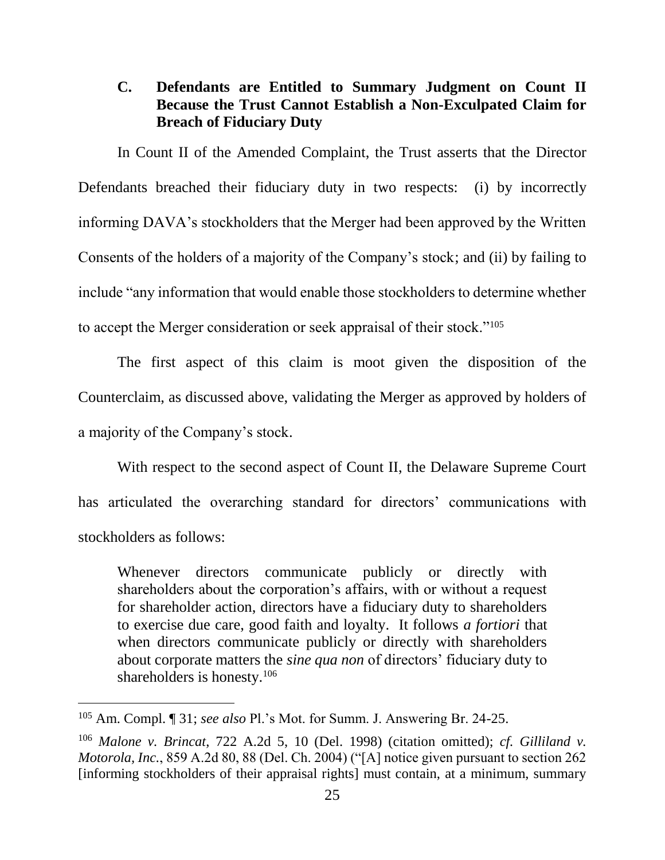# **C. Defendants are Entitled to Summary Judgment on Count II Because the Trust Cannot Establish a Non-Exculpated Claim for Breach of Fiduciary Duty**

In Count II of the Amended Complaint, the Trust asserts that the Director Defendants breached their fiduciary duty in two respects: (i) by incorrectly informing DAVA's stockholders that the Merger had been approved by the Written Consents of the holders of a majority of the Company's stock; and (ii) by failing to include "any information that would enable those stockholders to determine whether to accept the Merger consideration or seek appraisal of their stock."<sup>105</sup>

The first aspect of this claim is moot given the disposition of the Counterclaim, as discussed above, validating the Merger as approved by holders of a majority of the Company's stock.

With respect to the second aspect of Count II, the Delaware Supreme Court has articulated the overarching standard for directors' communications with stockholders as follows:

Whenever directors communicate publicly or directly with shareholders about the corporation's affairs, with or without a request for shareholder action, directors have a fiduciary duty to shareholders to exercise due care, good faith and loyalty. It follows *a fortiori* that when directors communicate publicly or directly with shareholders about corporate matters the *sine qua non* of directors' fiduciary duty to shareholders is honesty.<sup>106</sup>

<sup>105</sup> Am. Compl. ¶ 31; *see also* Pl.'s Mot. for Summ. J. Answering Br. 24-25.

<sup>106</sup> *Malone v. Brincat*, 722 A.2d 5, 10 (Del. 1998) (citation omitted); *cf. Gilliland v. Motorola, Inc.*, 859 A.2d 80, 88 (Del. Ch. 2004) ("[A] notice given pursuant to section 262 [informing stockholders of their appraisal rights] must contain, at a minimum, summary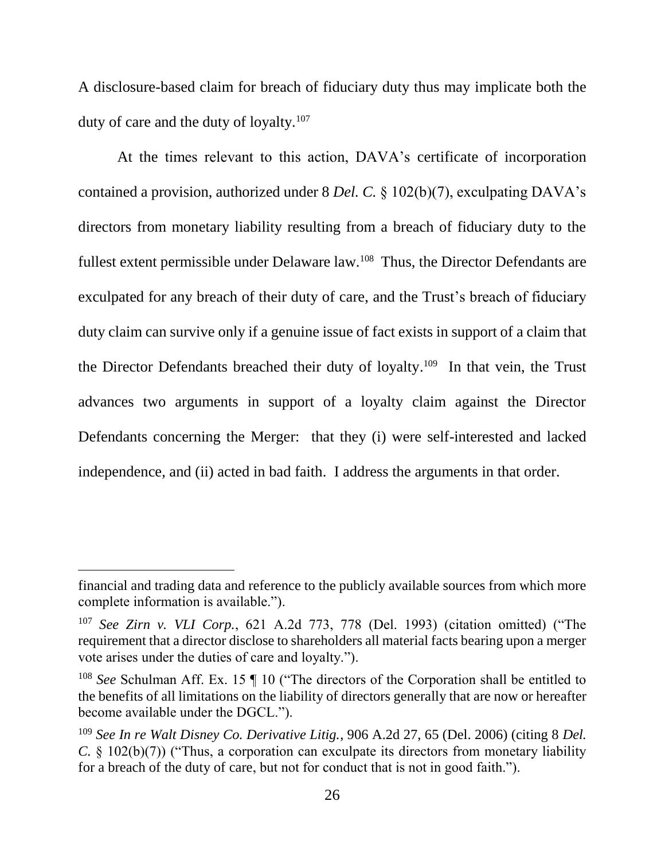A disclosure-based claim for breach of fiduciary duty thus may implicate both the duty of care and the duty of loyalty.<sup>107</sup>

At the times relevant to this action, DAVA's certificate of incorporation contained a provision, authorized under 8 *Del. C.* § 102(b)(7), exculpating DAVA's directors from monetary liability resulting from a breach of fiduciary duty to the fullest extent permissible under Delaware law.<sup>108</sup> Thus, the Director Defendants are exculpated for any breach of their duty of care, and the Trust's breach of fiduciary duty claim can survive only if a genuine issue of fact exists in support of a claim that the Director Defendants breached their duty of loyalty.<sup>109</sup> In that vein, the Trust advances two arguments in support of a loyalty claim against the Director Defendants concerning the Merger: that they (i) were self-interested and lacked independence, and (ii) acted in bad faith. I address the arguments in that order.

financial and trading data and reference to the publicly available sources from which more complete information is available.").

<sup>107</sup> *See Zirn v. VLI Corp.*, 621 A.2d 773, 778 (Del. 1993) (citation omitted) ("The requirement that a director disclose to shareholders all material facts bearing upon a merger vote arises under the duties of care and loyalty.").

<sup>&</sup>lt;sup>108</sup> *See* Schulman Aff. Ex. 15  $\parallel$  10 ("The directors of the Corporation shall be entitled to the benefits of all limitations on the liability of directors generally that are now or hereafter become available under the DGCL.").

<sup>109</sup> *See In re Walt Disney Co. Derivative Litig.*, 906 A.2d 27, 65 (Del. 2006) (citing 8 *Del. C.* § 102(b)(7)) ("Thus, a corporation can exculpate its directors from monetary liability for a breach of the duty of care, but not for conduct that is not in good faith.").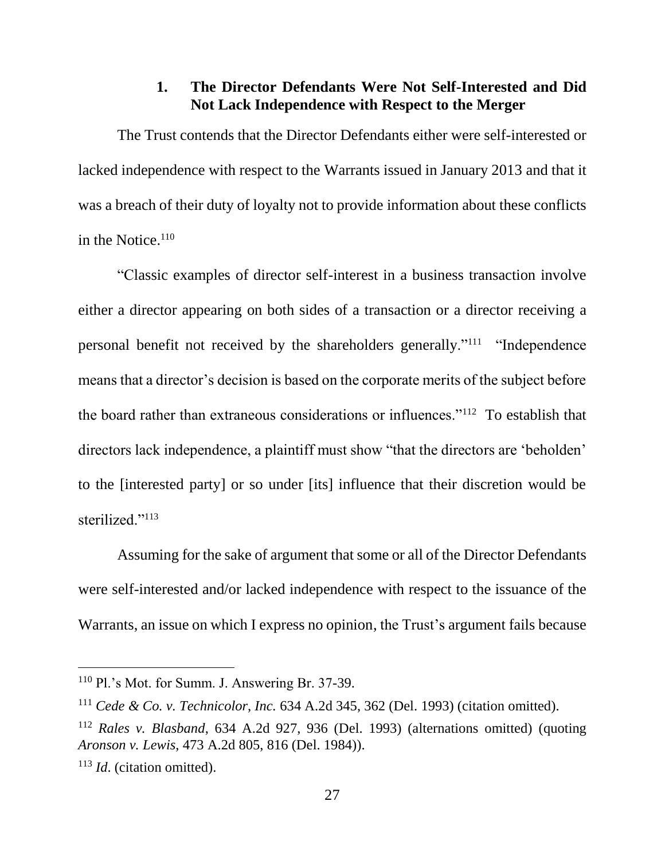## **1. The Director Defendants Were Not Self-Interested and Did Not Lack Independence with Respect to the Merger**

The Trust contends that the Director Defendants either were self-interested or lacked independence with respect to the Warrants issued in January 2013 and that it was a breach of their duty of loyalty not to provide information about these conflicts in the Notice. $110$ 

"Classic examples of director self-interest in a business transaction involve either a director appearing on both sides of a transaction or a director receiving a personal benefit not received by the shareholders generally."<sup>111</sup> "Independence means that a director's decision is based on the corporate merits of the subject before the board rather than extraneous considerations or influences."<sup>112</sup> To establish that directors lack independence, a plaintiff must show "that the directors are 'beholden' to the [interested party] or so under [its] influence that their discretion would be sterilized."<sup>113</sup>

Assuming for the sake of argument that some or all of the Director Defendants were self-interested and/or lacked independence with respect to the issuance of the Warrants, an issue on which I express no opinion, the Trust's argument fails because

<sup>110</sup> Pl.'s Mot. for Summ. J. Answering Br. 37-39.

<sup>111</sup> *Cede & Co. v. Technicolor, Inc.* 634 A.2d 345, 362 (Del. 1993) (citation omitted).

<sup>112</sup> *Rales v. Blasband*, 634 A.2d 927, 936 (Del. 1993) (alternations omitted) (quoting *Aronson v. Lewis*, 473 A.2d 805, 816 (Del. 1984)).

<sup>113</sup> *Id*. (citation omitted).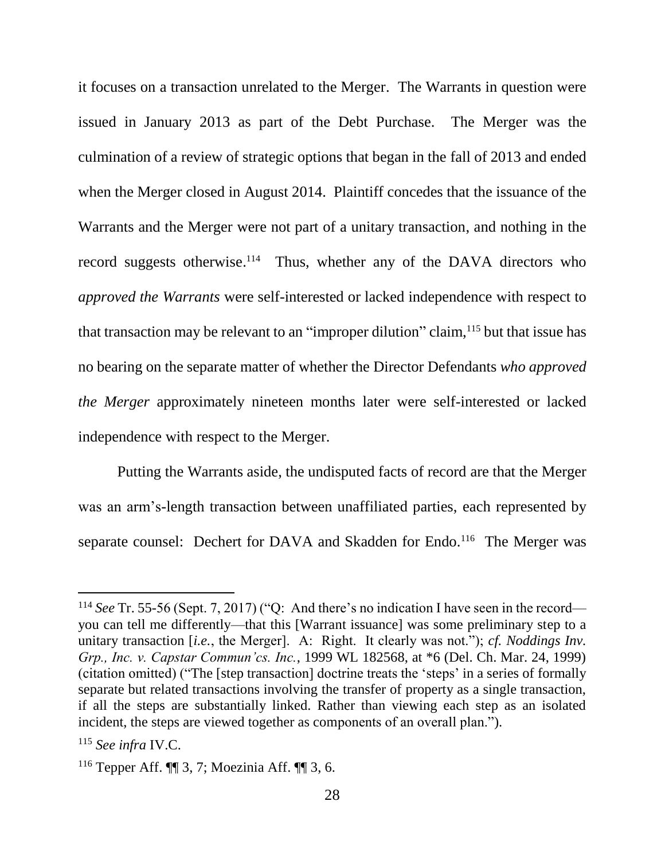it focuses on a transaction unrelated to the Merger. The Warrants in question were issued in January 2013 as part of the Debt Purchase. The Merger was the culmination of a review of strategic options that began in the fall of 2013 and ended when the Merger closed in August 2014. Plaintiff concedes that the issuance of the Warrants and the Merger were not part of a unitary transaction, and nothing in the record suggests otherwise.<sup>114</sup> Thus, whether any of the DAVA directors who *approved the Warrants* were self-interested or lacked independence with respect to that transaction may be relevant to an "improper dilution" claim, <sup>115</sup> but that issue has no bearing on the separate matter of whether the Director Defendants *who approved the Merger* approximately nineteen months later were self-interested or lacked independence with respect to the Merger.

Putting the Warrants aside, the undisputed facts of record are that the Merger was an arm's-length transaction between unaffiliated parties, each represented by separate counsel: Dechert for DAVA and Skadden for Endo.<sup>116</sup> The Merger was

<sup>114</sup> *See* Tr. 55-56 (Sept. 7, 2017) ("Q: And there's no indication I have seen in the record you can tell me differently—that this [Warrant issuance] was some preliminary step to a unitary transaction [*i.e.*, the Merger]. A: Right. It clearly was not."); *cf. Noddings Inv. Grp., Inc. v. Capstar Commun'cs. Inc.*, 1999 WL 182568, at \*6 (Del. Ch. Mar. 24, 1999) (citation omitted) ("The [step transaction] doctrine treats the 'steps' in a series of formally separate but related transactions involving the transfer of property as a single transaction, if all the steps are substantially linked. Rather than viewing each step as an isolated incident, the steps are viewed together as components of an overall plan.").

<sup>115</sup> *See infra* IV.C.

<sup>116</sup> Tepper Aff. ¶¶ 3, 7; Moezinia Aff. ¶¶ 3, 6.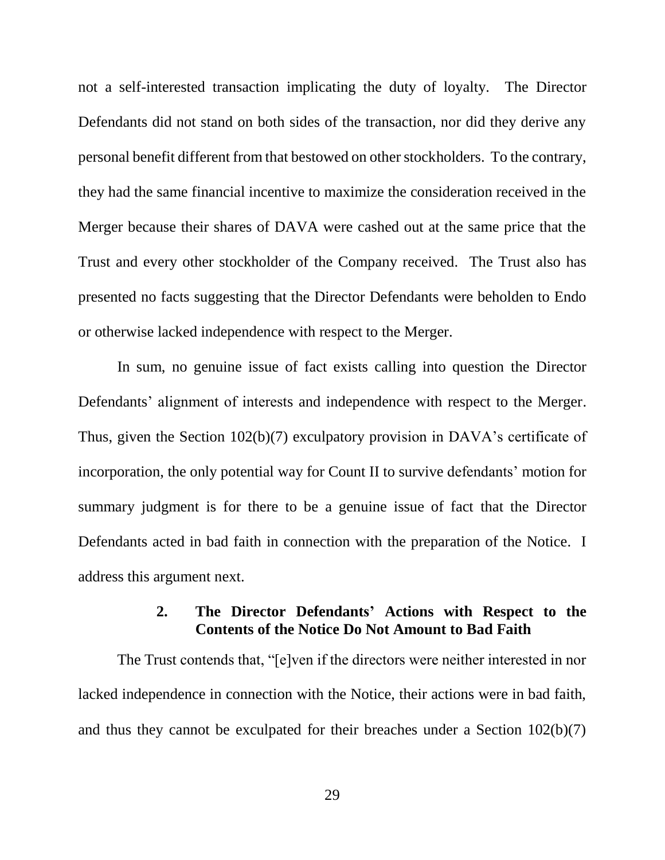not a self-interested transaction implicating the duty of loyalty. The Director Defendants did not stand on both sides of the transaction, nor did they derive any personal benefit different from that bestowed on other stockholders. To the contrary, they had the same financial incentive to maximize the consideration received in the Merger because their shares of DAVA were cashed out at the same price that the Trust and every other stockholder of the Company received. The Trust also has presented no facts suggesting that the Director Defendants were beholden to Endo or otherwise lacked independence with respect to the Merger.

In sum, no genuine issue of fact exists calling into question the Director Defendants' alignment of interests and independence with respect to the Merger. Thus, given the Section 102(b)(7) exculpatory provision in DAVA's certificate of incorporation, the only potential way for Count II to survive defendants' motion for summary judgment is for there to be a genuine issue of fact that the Director Defendants acted in bad faith in connection with the preparation of the Notice. I address this argument next.

# **2. The Director Defendants' Actions with Respect to the Contents of the Notice Do Not Amount to Bad Faith**

The Trust contends that, "[e]ven if the directors were neither interested in nor lacked independence in connection with the Notice, their actions were in bad faith, and thus they cannot be exculpated for their breaches under a Section 102(b)(7)

29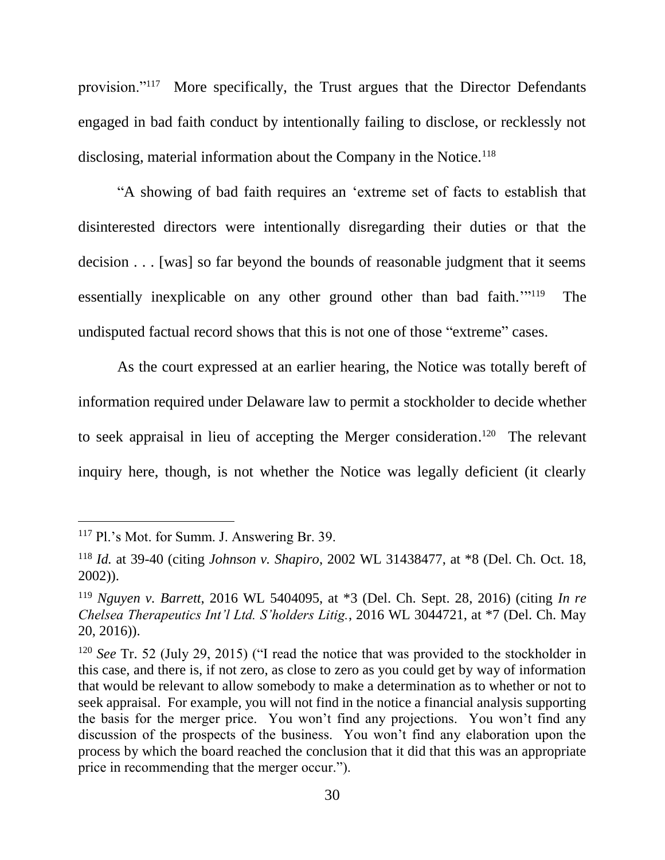provision."<sup>117</sup> More specifically, the Trust argues that the Director Defendants engaged in bad faith conduct by intentionally failing to disclose, or recklessly not disclosing, material information about the Company in the Notice.<sup>118</sup>

"A showing of bad faith requires an 'extreme set of facts to establish that disinterested directors were intentionally disregarding their duties or that the decision . . . [was] so far beyond the bounds of reasonable judgment that it seems essentially inexplicable on any other ground other than bad faith."<sup>119</sup> The undisputed factual record shows that this is not one of those "extreme" cases.

As the court expressed at an earlier hearing, the Notice was totally bereft of information required under Delaware law to permit a stockholder to decide whether to seek appraisal in lieu of accepting the Merger consideration.<sup>120</sup> The relevant inquiry here, though, is not whether the Notice was legally deficient (it clearly

<sup>117</sup> Pl.'s Mot. for Summ. J. Answering Br. 39.

<sup>118</sup> *Id.* at 39-40 (citing *Johnson v. Shapiro*, 2002 WL 31438477, at \*8 (Del. Ch. Oct. 18, 2002)).

<sup>119</sup> *Nguyen v. Barrett*, 2016 WL 5404095, at \*3 (Del. Ch. Sept. 28, 2016) (citing *In re Chelsea Therapeutics Int'l Ltd. S'holders Litig.*, 2016 WL 3044721, at \*7 (Del. Ch. May 20, 2016)).

<sup>120</sup> *See* Tr. 52 (July 29, 2015) ("I read the notice that was provided to the stockholder in this case, and there is, if not zero, as close to zero as you could get by way of information that would be relevant to allow somebody to make a determination as to whether or not to seek appraisal. For example, you will not find in the notice a financial analysis supporting the basis for the merger price. You won't find any projections. You won't find any discussion of the prospects of the business. You won't find any elaboration upon the process by which the board reached the conclusion that it did that this was an appropriate price in recommending that the merger occur.").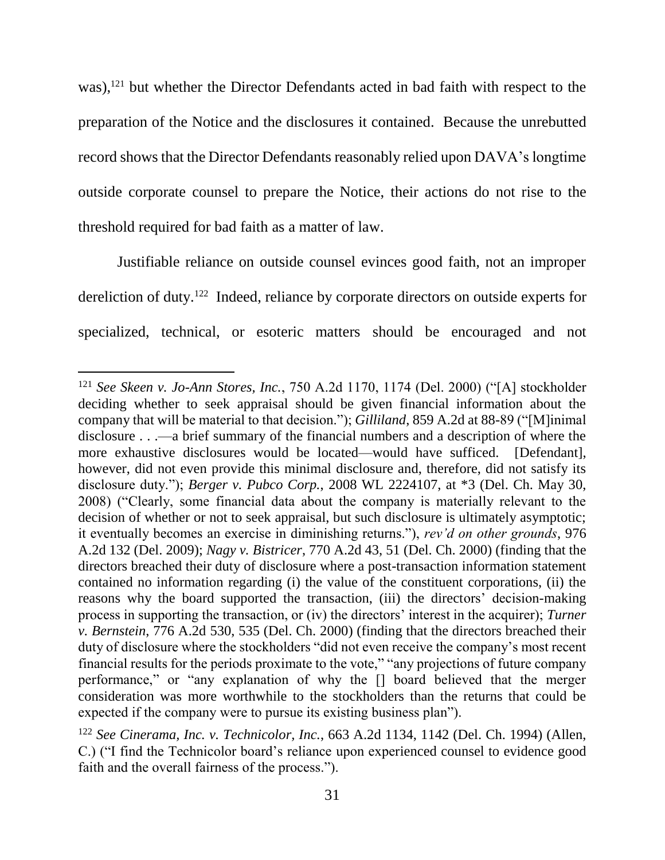was),<sup>121</sup> but whether the Director Defendants acted in bad faith with respect to the preparation of the Notice and the disclosures it contained. Because the unrebutted record shows that the Director Defendants reasonably relied upon DAVA's longtime outside corporate counsel to prepare the Notice, their actions do not rise to the threshold required for bad faith as a matter of law.

Justifiable reliance on outside counsel evinces good faith, not an improper dereliction of duty.<sup>122</sup> Indeed, reliance by corporate directors on outside experts for specialized, technical, or esoteric matters should be encouraged and not

<sup>121</sup> *See Skeen v. Jo-Ann Stores, Inc.*, 750 A.2d 1170, 1174 (Del. 2000) ("[A] stockholder deciding whether to seek appraisal should be given financial information about the company that will be material to that decision."); *Gilliland*, 859 A.2d at 88-89 ("[M]inimal disclosure . . .—a brief summary of the financial numbers and a description of where the more exhaustive disclosures would be located—would have sufficed. [Defendant], however, did not even provide this minimal disclosure and, therefore, did not satisfy its disclosure duty."); *Berger v. Pubco Corp.*, 2008 WL 2224107, at \*3 (Del. Ch. May 30, 2008) ("Clearly, some financial data about the company is materially relevant to the decision of whether or not to seek appraisal, but such disclosure is ultimately asymptotic; it eventually becomes an exercise in diminishing returns."), *rev'd on other grounds*, 976 A.2d 132 (Del. 2009); *Nagy v. Bistricer*, 770 A.2d 43, 51 (Del. Ch. 2000) (finding that the directors breached their duty of disclosure where a post-transaction information statement contained no information regarding (i) the value of the constituent corporations, (ii) the reasons why the board supported the transaction, (iii) the directors' decision-making process in supporting the transaction, or (iv) the directors' interest in the acquirer); *Turner v. Bernstein*, 776 A.2d 530, 535 (Del. Ch. 2000) (finding that the directors breached their duty of disclosure where the stockholders "did not even receive the company's most recent financial results for the periods proximate to the vote," "any projections of future company performance," or "any explanation of why the [] board believed that the merger consideration was more worthwhile to the stockholders than the returns that could be expected if the company were to pursue its existing business plan").

<sup>122</sup> *See Cinerama, Inc. v. Technicolor, Inc.*, 663 A.2d 1134, 1142 (Del. Ch. 1994) (Allen, C.) ("I find the Technicolor board's reliance upon experienced counsel to evidence good faith and the overall fairness of the process.").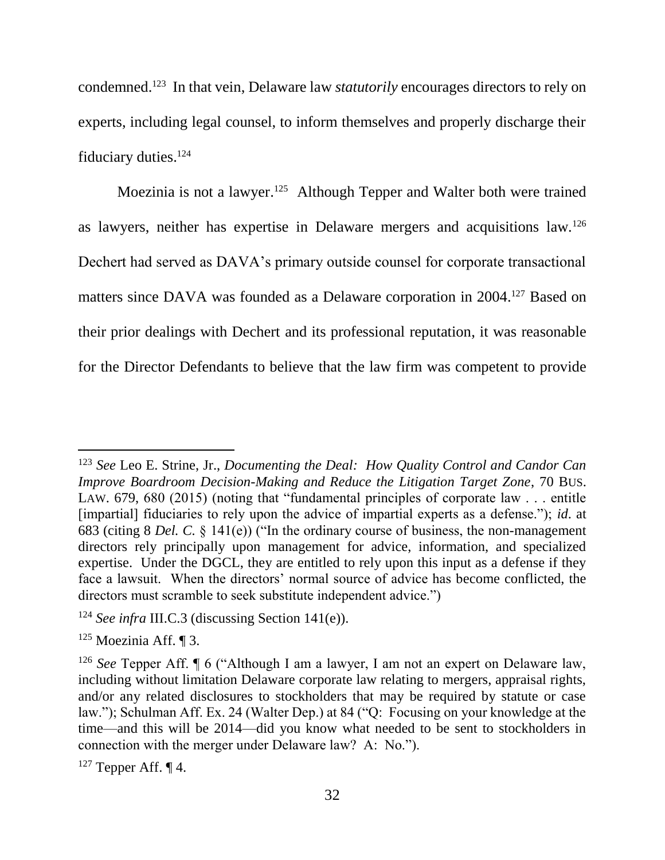condemned.<sup>123</sup> In that vein, Delaware law *statutorily* encourages directors to rely on experts, including legal counsel, to inform themselves and properly discharge their fiduciary duties. 124

Moezinia is not a lawyer.<sup>125</sup> Although Tepper and Walter both were trained as lawyers, neither has expertise in Delaware mergers and acquisitions law.<sup>126</sup> Dechert had served as DAVA's primary outside counsel for corporate transactional matters since DAVA was founded as a Delaware corporation in 2004. <sup>127</sup> Based on their prior dealings with Dechert and its professional reputation, it was reasonable for the Director Defendants to believe that the law firm was competent to provide

<sup>123</sup> *See* Leo E. Strine, Jr., *Documenting the Deal: How Quality Control and Candor Can Improve Boardroom Decision-Making and Reduce the Litigation Target Zone*, 70 BUS. LAW. 679, 680 (2015) (noting that "fundamental principles of corporate law . . . entitle [impartial] fiduciaries to rely upon the advice of impartial experts as a defense."); *id*. at 683 (citing 8 *Del. C.* § 141(e)) ("In the ordinary course of business, the non-management directors rely principally upon management for advice, information, and specialized expertise. Under the DGCL, they are entitled to rely upon this input as a defense if they face a lawsuit. When the directors' normal source of advice has become conflicted, the directors must scramble to seek substitute independent advice.")

<sup>124</sup> *See infra* III.C.3 (discussing Section 141(e)).

<sup>125</sup> Moezinia Aff. ¶ 3.

<sup>126</sup> *See* Tepper Aff. ¶ 6 ("Although I am a lawyer, I am not an expert on Delaware law, including without limitation Delaware corporate law relating to mergers, appraisal rights, and/or any related disclosures to stockholders that may be required by statute or case law."); Schulman Aff. Ex. 24 (Walter Dep.) at 84 ("Q: Focusing on your knowledge at the time—and this will be 2014—did you know what needed to be sent to stockholders in connection with the merger under Delaware law? A: No.").

 $127$  Tepper Aff.  $\P$  4.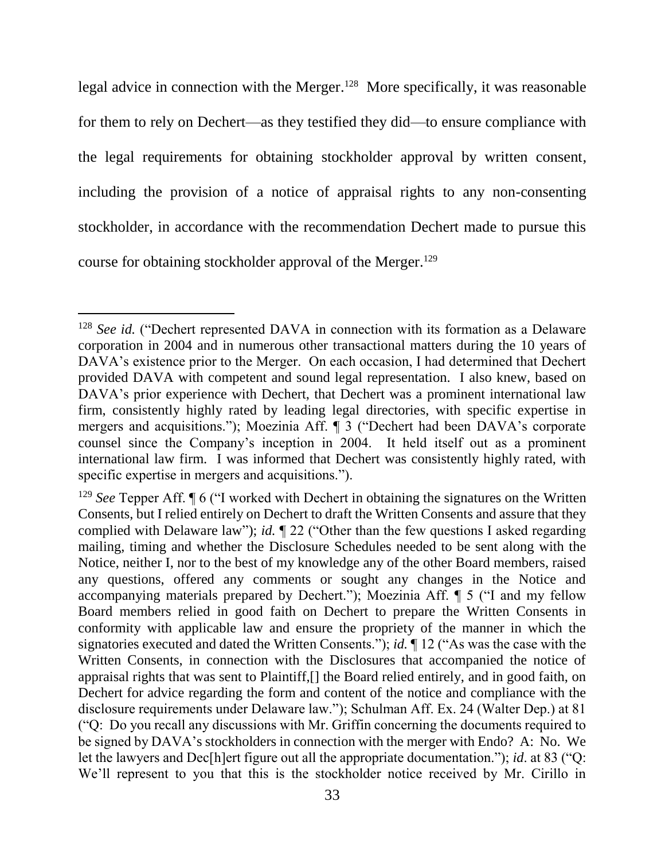legal advice in connection with the Merger.<sup>128</sup> More specifically, it was reasonable for them to rely on Dechert—as they testified they did—to ensure compliance with the legal requirements for obtaining stockholder approval by written consent, including the provision of a notice of appraisal rights to any non-consenting stockholder, in accordance with the recommendation Dechert made to pursue this course for obtaining stockholder approval of the Merger. 129

<sup>&</sup>lt;sup>128</sup> *See id.* ("Dechert represented DAVA in connection with its formation as a Delaware corporation in 2004 and in numerous other transactional matters during the 10 years of DAVA's existence prior to the Merger. On each occasion, I had determined that Dechert provided DAVA with competent and sound legal representation. I also knew, based on DAVA's prior experience with Dechert, that Dechert was a prominent international law firm, consistently highly rated by leading legal directories, with specific expertise in mergers and acquisitions."); Moezinia Aff. ¶ 3 ("Dechert had been DAVA's corporate counsel since the Company's inception in 2004. It held itself out as a prominent international law firm. I was informed that Dechert was consistently highly rated, with specific expertise in mergers and acquisitions.").

<sup>129</sup> *See* Tepper Aff. ¶ 6 ("I worked with Dechert in obtaining the signatures on the Written Consents, but I relied entirely on Dechert to draft the Written Consents and assure that they complied with Delaware law"); *id.* ¶ 22 ("Other than the few questions I asked regarding mailing, timing and whether the Disclosure Schedules needed to be sent along with the Notice, neither I, nor to the best of my knowledge any of the other Board members, raised any questions, offered any comments or sought any changes in the Notice and accompanying materials prepared by Dechert."); Moezinia Aff. ¶ 5 ("I and my fellow Board members relied in good faith on Dechert to prepare the Written Consents in conformity with applicable law and ensure the propriety of the manner in which the signatories executed and dated the Written Consents."); *id.* ¶ 12 ("As was the case with the Written Consents, in connection with the Disclosures that accompanied the notice of appraisal rights that was sent to Plaintiff,[] the Board relied entirely, and in good faith, on Dechert for advice regarding the form and content of the notice and compliance with the disclosure requirements under Delaware law."); Schulman Aff. Ex. 24 (Walter Dep.) at 81 ("Q: Do you recall any discussions with Mr. Griffin concerning the documents required to be signed by DAVA's stockholders in connection with the merger with Endo? A: No. We let the lawyers and Dec[h]ert figure out all the appropriate documentation."); *id*. at 83 ("Q: We'll represent to you that this is the stockholder notice received by Mr. Cirillo in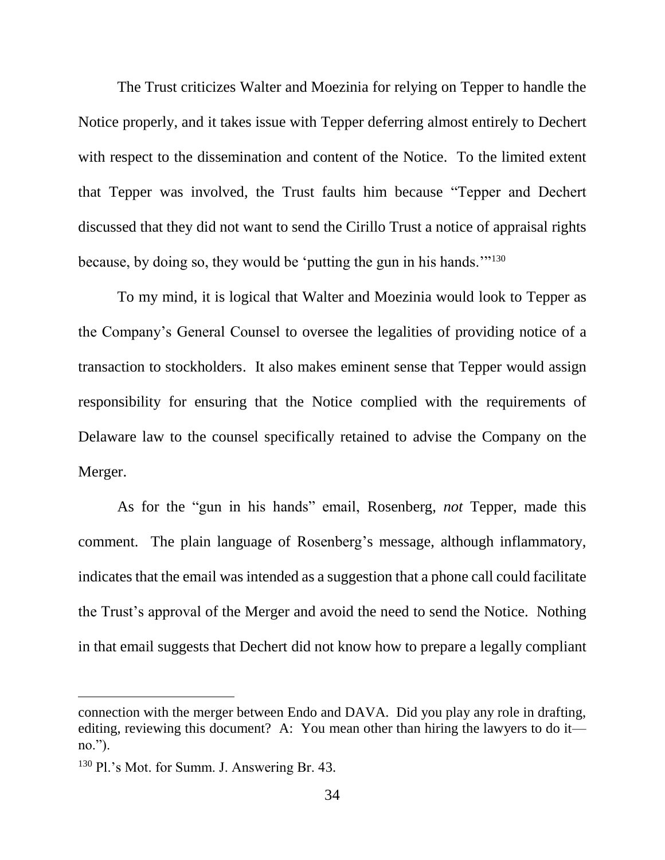The Trust criticizes Walter and Moezinia for relying on Tepper to handle the Notice properly, and it takes issue with Tepper deferring almost entirely to Dechert with respect to the dissemination and content of the Notice. To the limited extent that Tepper was involved, the Trust faults him because "Tepper and Dechert discussed that they did not want to send the Cirillo Trust a notice of appraisal rights because, by doing so, they would be 'putting the gun in his hands.'"<sup>130</sup>

To my mind, it is logical that Walter and Moezinia would look to Tepper as the Company's General Counsel to oversee the legalities of providing notice of a transaction to stockholders. It also makes eminent sense that Tepper would assign responsibility for ensuring that the Notice complied with the requirements of Delaware law to the counsel specifically retained to advise the Company on the Merger.

As for the "gun in his hands" email, Rosenberg, *not* Tepper, made this comment. The plain language of Rosenberg's message, although inflammatory, indicates that the email was intended as a suggestion that a phone call could facilitate the Trust's approval of the Merger and avoid the need to send the Notice. Nothing in that email suggests that Dechert did not know how to prepare a legally compliant

connection with the merger between Endo and DAVA. Did you play any role in drafting, editing, reviewing this document? A: You mean other than hiring the lawyers to do it no.").

<sup>130</sup> Pl.'s Mot. for Summ. J. Answering Br. 43.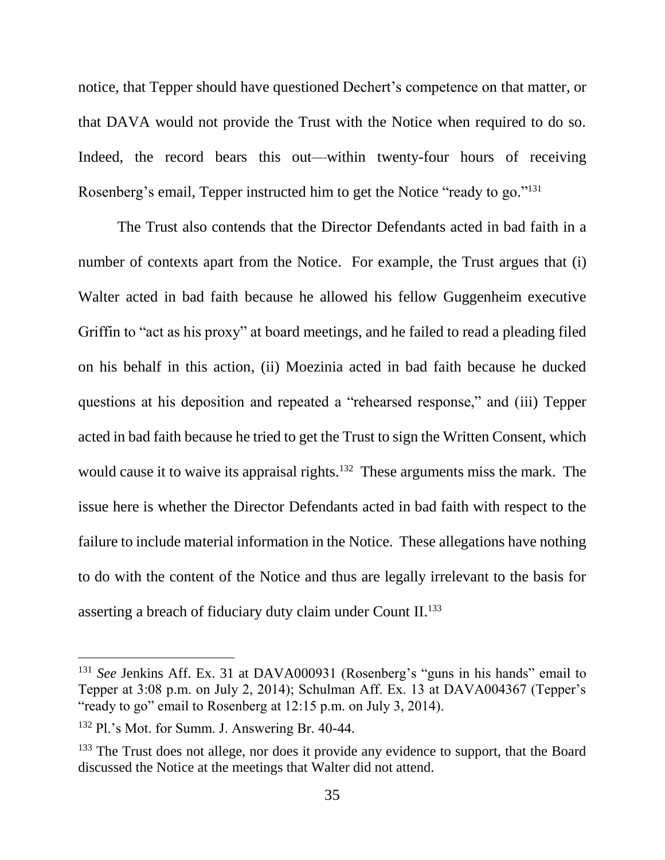notice, that Tepper should have questioned Dechert's competence on that matter, or that DAVA would not provide the Trust with the Notice when required to do so. Indeed, the record bears this out—within twenty-four hours of receiving Rosenberg's email, Tepper instructed him to get the Notice "ready to go."<sup>131</sup>

The Trust also contends that the Director Defendants acted in bad faith in a number of contexts apart from the Notice. For example, the Trust argues that (i) Walter acted in bad faith because he allowed his fellow Guggenheim executive Griffin to "act as his proxy" at board meetings, and he failed to read a pleading filed on his behalf in this action, (ii) Moezinia acted in bad faith because he ducked questions at his deposition and repeated a "rehearsed response," and (iii) Tepper acted in bad faith because he tried to get the Trust to sign the Written Consent, which would cause it to waive its appraisal rights.<sup>132</sup> These arguments miss the mark. The issue here is whether the Director Defendants acted in bad faith with respect to the failure to include material information in the Notice. These allegations have nothing to do with the content of the Notice and thus are legally irrelevant to the basis for asserting a breach of fiduciary duty claim under Count II.<sup>133</sup>

<sup>&</sup>lt;sup>131</sup> *See* Jenkins Aff. Ex. 31 at DAVA000931 (Rosenberg's "guns in his hands" email to Tepper at 3:08 p.m. on July 2, 2014); Schulman Aff. Ex. 13 at DAVA004367 (Tepper's "ready to go" email to Rosenberg at 12:15 p.m. on July 3, 2014).

<sup>132</sup> Pl.'s Mot. for Summ. J. Answering Br. 40-44.

<sup>&</sup>lt;sup>133</sup> The Trust does not allege, nor does it provide any evidence to support, that the Board discussed the Notice at the meetings that Walter did not attend.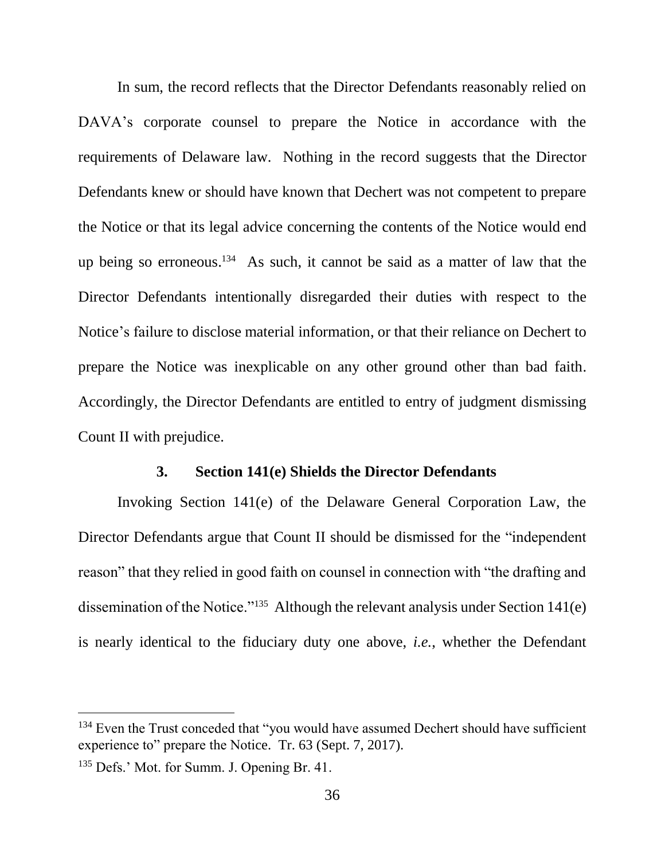In sum, the record reflects that the Director Defendants reasonably relied on DAVA's corporate counsel to prepare the Notice in accordance with the requirements of Delaware law. Nothing in the record suggests that the Director Defendants knew or should have known that Dechert was not competent to prepare the Notice or that its legal advice concerning the contents of the Notice would end up being so erroneous. <sup>134</sup> As such, it cannot be said as a matter of law that the Director Defendants intentionally disregarded their duties with respect to the Notice's failure to disclose material information, or that their reliance on Dechert to prepare the Notice was inexplicable on any other ground other than bad faith. Accordingly, the Director Defendants are entitled to entry of judgment dismissing Count II with prejudice.

### **3. Section 141(e) Shields the Director Defendants**

Invoking Section 141(e) of the Delaware General Corporation Law, the Director Defendants argue that Count II should be dismissed for the "independent reason" that they relied in good faith on counsel in connection with "the drafting and dissemination of the Notice."<sup>135</sup> Although the relevant analysis under Section 141(e) is nearly identical to the fiduciary duty one above, *i.e.*, whether the Defendant

<sup>&</sup>lt;sup>134</sup> Even the Trust conceded that "you would have assumed Dechert should have sufficient experience to" prepare the Notice. Tr. 63 (Sept. 7, 2017).

<sup>135</sup> Defs.' Mot. for Summ. J. Opening Br. 41.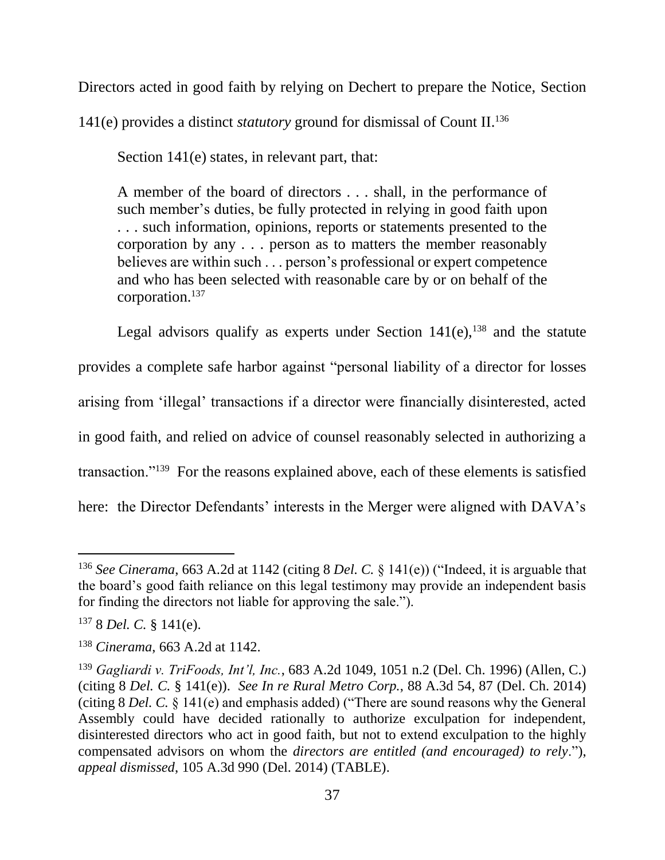Directors acted in good faith by relying on Dechert to prepare the Notice, Section

141(e) provides a distinct *statutory* ground for dismissal of Count II. 136

Section 141(e) states, in relevant part, that:

A member of the board of directors . . . shall, in the performance of such member's duties, be fully protected in relying in good faith upon . . . such information, opinions, reports or statements presented to the corporation by any . . . person as to matters the member reasonably believes are within such . . . person's professional or expert competence and who has been selected with reasonable care by or on behalf of the corporation.<sup>137</sup>

Legal advisors qualify as experts under Section  $141(e)$ ,<sup>138</sup> and the statute provides a complete safe harbor against "personal liability of a director for losses arising from 'illegal' transactions if a director were financially disinterested, acted in good faith, and relied on advice of counsel reasonably selected in authorizing a transaction."<sup>139</sup> For the reasons explained above, each of these elements is satisfied here: the Director Defendants' interests in the Merger were aligned with DAVA's

<sup>136</sup> *See Cinerama*, 663 A.2d at 1142 (citing 8 *Del. C.* § 141(e)) ("Indeed, it is arguable that the board's good faith reliance on this legal testimony may provide an independent basis for finding the directors not liable for approving the sale.").

<sup>137</sup> 8 *Del. C.* § 141(e).

<sup>138</sup> *Cinerama*, 663 A.2d at 1142.

<sup>139</sup> *Gagliardi v. TriFoods, Int'l, Inc.*, 683 A.2d 1049, 1051 n.2 (Del. Ch. 1996) (Allen, C.) (citing 8 *Del. C.* § 141(e)). *See In re Rural Metro Corp.*, 88 A.3d 54, 87 (Del. Ch. 2014) (citing 8 *Del. C.* § 141(e) and emphasis added) ("There are sound reasons why the General Assembly could have decided rationally to authorize exculpation for independent, disinterested directors who act in good faith, but not to extend exculpation to the highly compensated advisors on whom the *directors are entitled (and encouraged) to rely*."), *appeal dismissed*, 105 A.3d 990 (Del. 2014) (TABLE).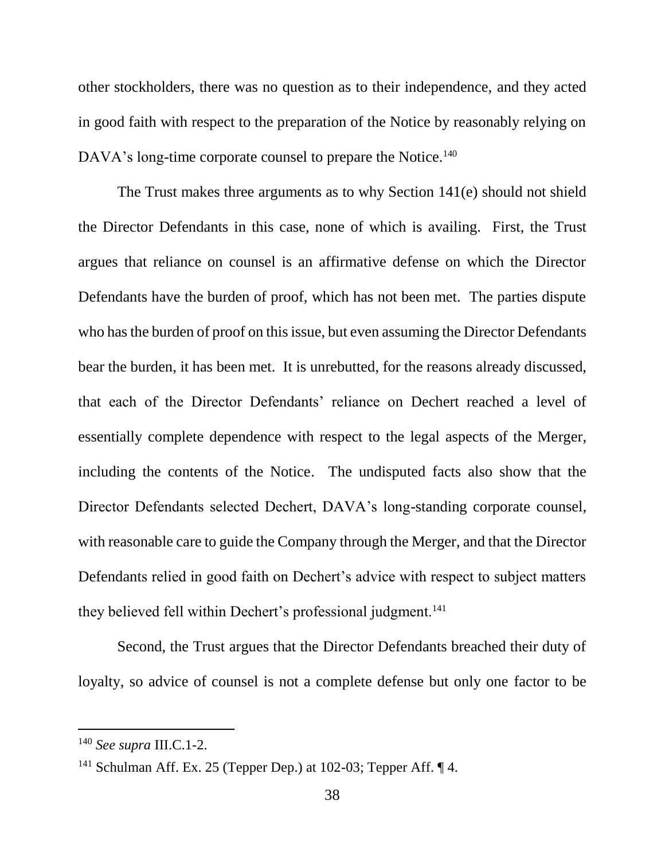other stockholders, there was no question as to their independence, and they acted in good faith with respect to the preparation of the Notice by reasonably relying on DAVA's long-time corporate counsel to prepare the Notice.<sup>140</sup>

The Trust makes three arguments as to why Section 141(e) should not shield the Director Defendants in this case, none of which is availing. First, the Trust argues that reliance on counsel is an affirmative defense on which the Director Defendants have the burden of proof, which has not been met. The parties dispute who has the burden of proof on this issue, but even assuming the Director Defendants bear the burden, it has been met. It is unrebutted, for the reasons already discussed, that each of the Director Defendants' reliance on Dechert reached a level of essentially complete dependence with respect to the legal aspects of the Merger, including the contents of the Notice. The undisputed facts also show that the Director Defendants selected Dechert, DAVA's long-standing corporate counsel, with reasonable care to guide the Company through the Merger, and that the Director Defendants relied in good faith on Dechert's advice with respect to subject matters they believed fell within Dechert's professional judgment.<sup>141</sup>

Second, the Trust argues that the Director Defendants breached their duty of loyalty, so advice of counsel is not a complete defense but only one factor to be

<sup>140</sup> *See supra* III.C.1-2.

<sup>&</sup>lt;sup>141</sup> Schulman Aff. Ex. 25 (Tepper Dep.) at 102-03; Tepper Aff.  $\P$  4.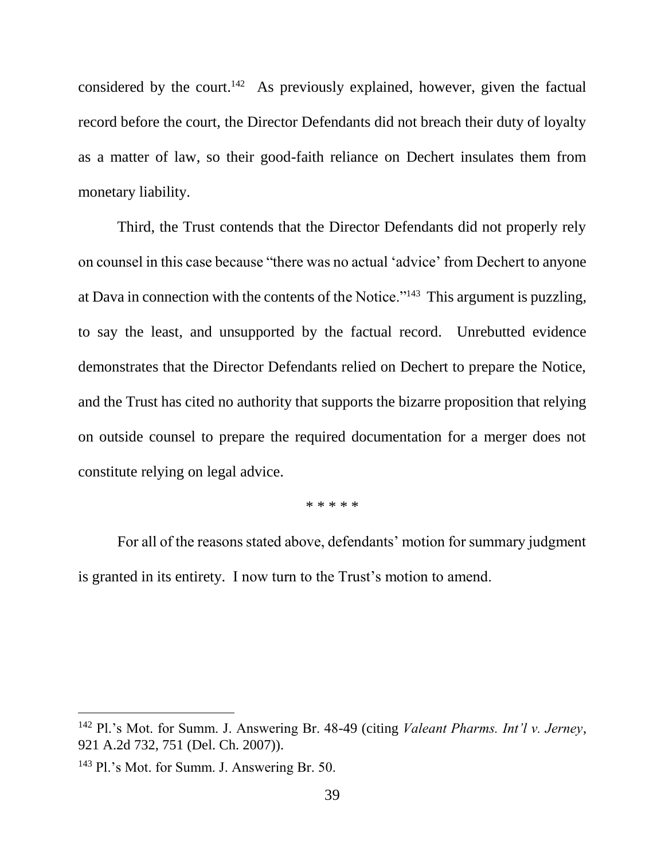considered by the court.<sup>142</sup> As previously explained, however, given the factual record before the court, the Director Defendants did not breach their duty of loyalty as a matter of law, so their good-faith reliance on Dechert insulates them from monetary liability.

Third, the Trust contends that the Director Defendants did not properly rely on counsel in this case because "there was no actual 'advice' from Dechert to anyone at Dava in connection with the contents of the Notice."<sup>143</sup> This argument is puzzling, to say the least, and unsupported by the factual record. Unrebutted evidence demonstrates that the Director Defendants relied on Dechert to prepare the Notice, and the Trust has cited no authority that supports the bizarre proposition that relying on outside counsel to prepare the required documentation for a merger does not constitute relying on legal advice.

\* \* \* \* \*

For all of the reasons stated above, defendants' motion for summary judgment is granted in its entirety. I now turn to the Trust's motion to amend.

<sup>142</sup> Pl.'s Mot. for Summ. J. Answering Br. 48-49 (citing *Valeant Pharms. Int'l v. Jerney*, 921 A.2d 732, 751 (Del. Ch. 2007)).

<sup>143</sup> Pl.'s Mot. for Summ. J. Answering Br. 50.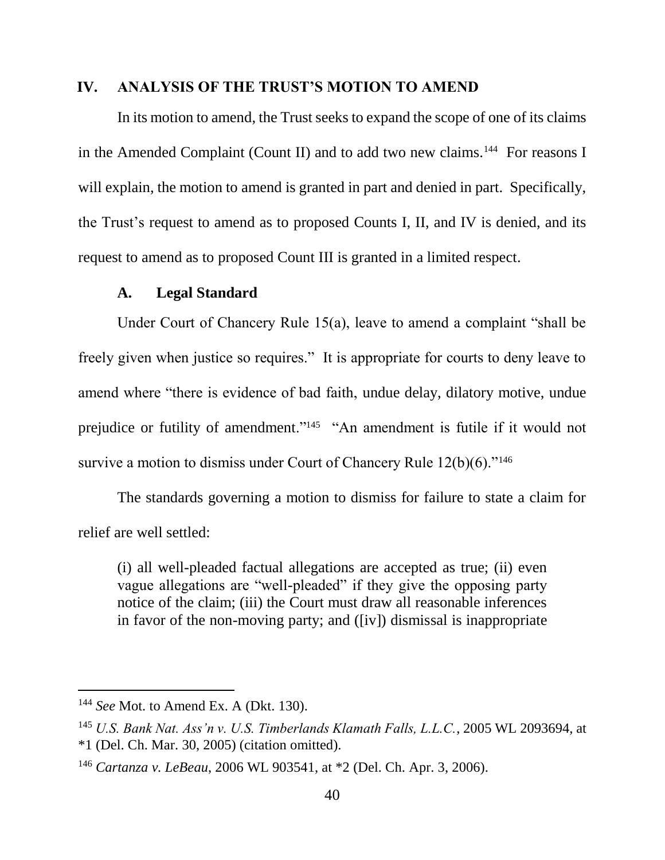#### **IV. ANALYSIS OF THE TRUST'S MOTION TO AMEND**

In its motion to amend, the Trust seeks to expand the scope of one of its claims in the Amended Complaint (Count II) and to add two new claims.<sup>144</sup> For reasons I will explain, the motion to amend is granted in part and denied in part. Specifically, the Trust's request to amend as to proposed Counts I, II, and IV is denied, and its request to amend as to proposed Count III is granted in a limited respect.

#### **A. Legal Standard**

Under Court of Chancery Rule 15(a), leave to amend a complaint "shall be freely given when justice so requires." It is appropriate for courts to deny leave to amend where "there is evidence of bad faith, undue delay, dilatory motive, undue prejudice or futility of amendment."<sup>145</sup> "An amendment is futile if it would not survive a motion to dismiss under Court of Chancery Rule  $12(b)(6)$ ."<sup>146</sup>

The standards governing a motion to dismiss for failure to state a claim for relief are well settled:

(i) all well-pleaded factual allegations are accepted as true; (ii) even vague allegations are "well-pleaded" if they give the opposing party notice of the claim; (iii) the Court must draw all reasonable inferences in favor of the non-moving party; and ([iv]) dismissal is inappropriate

<sup>144</sup> *See* Mot. to Amend Ex. A (Dkt. 130).

<sup>145</sup> *U.S. Bank Nat. Ass'n v. U.S. Timberlands Klamath Falls, L.L.C.*, 2005 WL 2093694, at \*1 (Del. Ch. Mar. 30, 2005) (citation omitted).

<sup>146</sup> *Cartanza v. LeBeau*, 2006 WL 903541, at \*2 (Del. Ch. Apr. 3, 2006).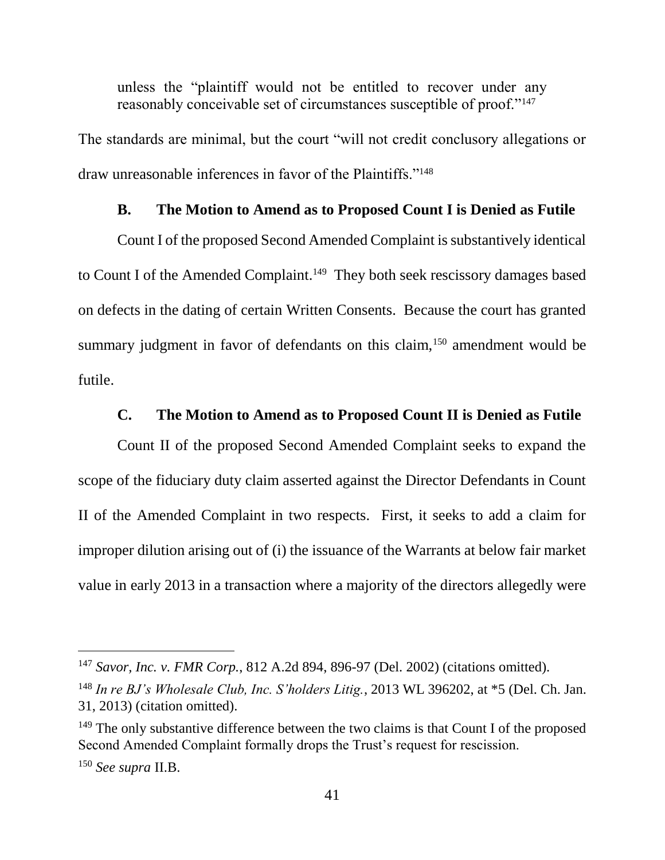unless the "plaintiff would not be entitled to recover under any reasonably conceivable set of circumstances susceptible of proof."<sup>147</sup>

The standards are minimal, but the court "will not credit conclusory allegations or draw unreasonable inferences in favor of the Plaintiffs."<sup>148</sup>

### **B. The Motion to Amend as to Proposed Count I is Denied as Futile**

Count I of the proposed Second Amended Complaint is substantively identical to Count I of the Amended Complaint.<sup>149</sup> They both seek rescissory damages based on defects in the dating of certain Written Consents. Because the court has granted summary judgment in favor of defendants on this claim,<sup>150</sup> amendment would be futile.

### **C. The Motion to Amend as to Proposed Count II is Denied as Futile**

Count II of the proposed Second Amended Complaint seeks to expand the scope of the fiduciary duty claim asserted against the Director Defendants in Count II of the Amended Complaint in two respects. First, it seeks to add a claim for improper dilution arising out of (i) the issuance of the Warrants at below fair market value in early 2013 in a transaction where a majority of the directors allegedly were

<sup>147</sup> *Savor, Inc. v. FMR Corp.*, 812 A.2d 894, 896-97 (Del. 2002) (citations omitted).

<sup>148</sup> *In re BJ's Wholesale Club, Inc. S'holders Litig.*, 2013 WL 396202, at \*5 (Del. Ch. Jan. 31, 2013) (citation omitted).

<sup>&</sup>lt;sup>149</sup> The only substantive difference between the two claims is that Count I of the proposed Second Amended Complaint formally drops the Trust's request for rescission.

<sup>150</sup> *See supra* II.B.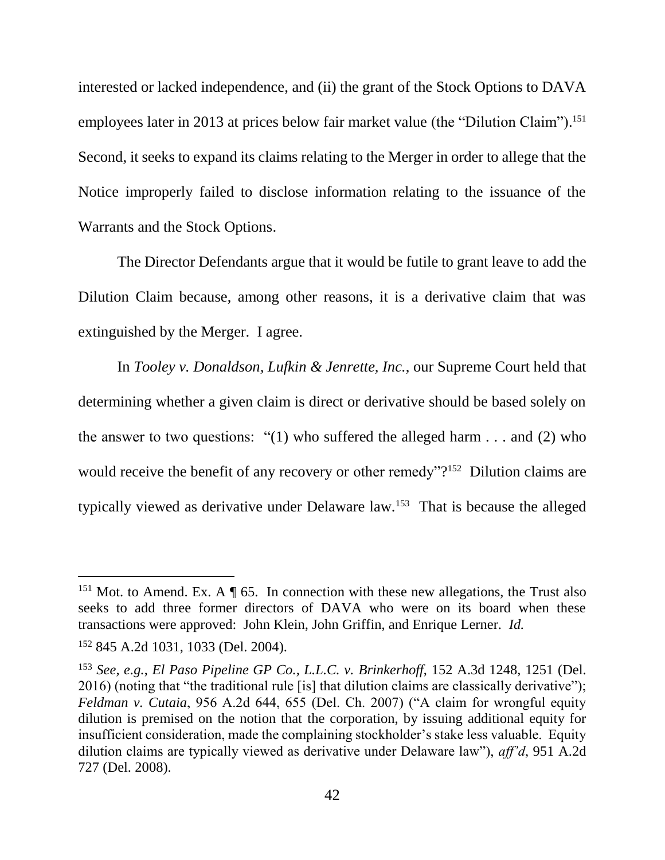interested or lacked independence, and (ii) the grant of the Stock Options to DAVA employees later in 2013 at prices below fair market value (the "Dilution Claim").<sup>151</sup> Second, it seeks to expand its claims relating to the Merger in order to allege that the Notice improperly failed to disclose information relating to the issuance of the Warrants and the Stock Options.

The Director Defendants argue that it would be futile to grant leave to add the Dilution Claim because, among other reasons, it is a derivative claim that was extinguished by the Merger. I agree.

In *Tooley v. Donaldson, Lufkin & Jenrette, Inc.*, our Supreme Court held that determining whether a given claim is direct or derivative should be based solely on the answer to two questions: "(1) who suffered the alleged harm  $\dots$  and (2) who would receive the benefit of any recovery or other remedy"?<sup>152</sup> Dilution claims are typically viewed as derivative under Delaware law.<sup>153</sup> That is because the alleged

<sup>&</sup>lt;sup>151</sup> Mot. to Amend. Ex. A  $\P$  65. In connection with these new allegations, the Trust also seeks to add three former directors of DAVA who were on its board when these transactions were approved: John Klein, John Griffin, and Enrique Lerner. *Id.*

<sup>152</sup> 845 A.2d 1031, 1033 (Del. 2004).

<sup>153</sup> *See, e.g.*, *El Paso Pipeline GP Co., L.L.C. v. Brinkerhoff*, 152 A.3d 1248, 1251 (Del. 2016) (noting that "the traditional rule [is] that dilution claims are classically derivative"); *Feldman v. Cutaia*, 956 A.2d 644, 655 (Del. Ch. 2007) ("A claim for wrongful equity dilution is premised on the notion that the corporation, by issuing additional equity for insufficient consideration, made the complaining stockholder's stake less valuable. Equity dilution claims are typically viewed as derivative under Delaware law"), *aff'd*, 951 A.2d 727 (Del. 2008).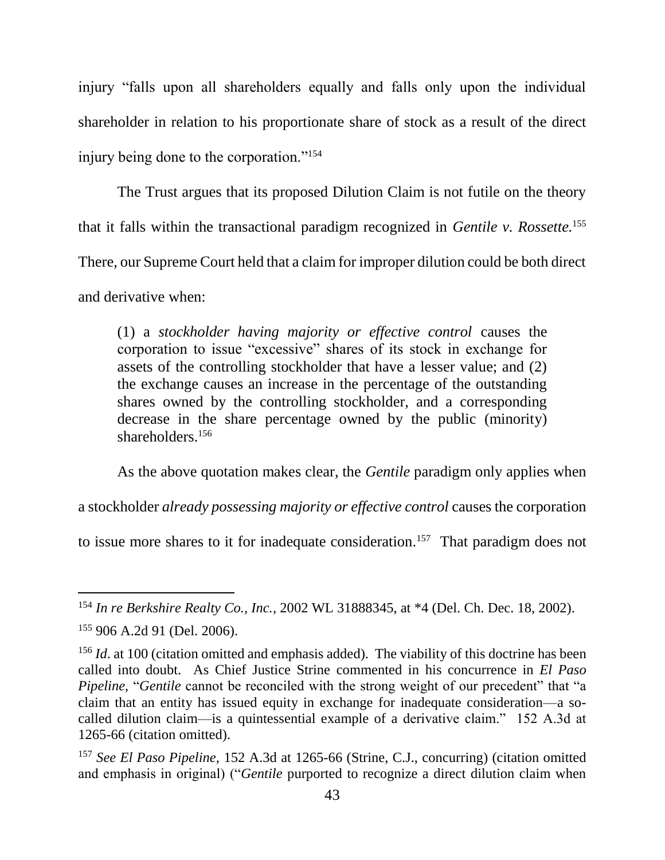injury "falls upon all shareholders equally and falls only upon the individual shareholder in relation to his proportionate share of stock as a result of the direct injury being done to the corporation."<sup>154</sup>

The Trust argues that its proposed Dilution Claim is not futile on the theory that it falls within the transactional paradigm recognized in *Gentile v. Rossette.* 155 There, our Supreme Court held that a claim for improper dilution could be both direct and derivative when:

(1) a *stockholder having majority or effective control* causes the corporation to issue "excessive" shares of its stock in exchange for assets of the controlling stockholder that have a lesser value; and (2) the exchange causes an increase in the percentage of the outstanding shares owned by the controlling stockholder, and a corresponding decrease in the share percentage owned by the public (minority) shareholders.<sup>156</sup>

As the above quotation makes clear, the *Gentile* paradigm only applies when

a stockholder *already possessing majority or effective control* causes the corporation

to issue more shares to it for inadequate consideration.<sup>157</sup> That paradigm does not

<sup>154</sup> *In re Berkshire Realty Co., Inc.*, 2002 WL 31888345, at \*4 (Del. Ch. Dec. 18, 2002).

<sup>155</sup> 906 A.2d 91 (Del. 2006).

<sup>&</sup>lt;sup>156</sup> *Id.* at 100 (citation omitted and emphasis added). The viability of this doctrine has been called into doubt. As Chief Justice Strine commented in his concurrence in *El Paso Pipeline*, "*Gentile* cannot be reconciled with the strong weight of our precedent" that "a claim that an entity has issued equity in exchange for inadequate consideration—a socalled dilution claim—is a quintessential example of a derivative claim." 152 A.3d at 1265-66 (citation omitted).

<sup>157</sup> *See El Paso Pipeline*, 152 A.3d at 1265-66 (Strine, C.J., concurring) (citation omitted and emphasis in original) ("*Gentile* purported to recognize a direct dilution claim when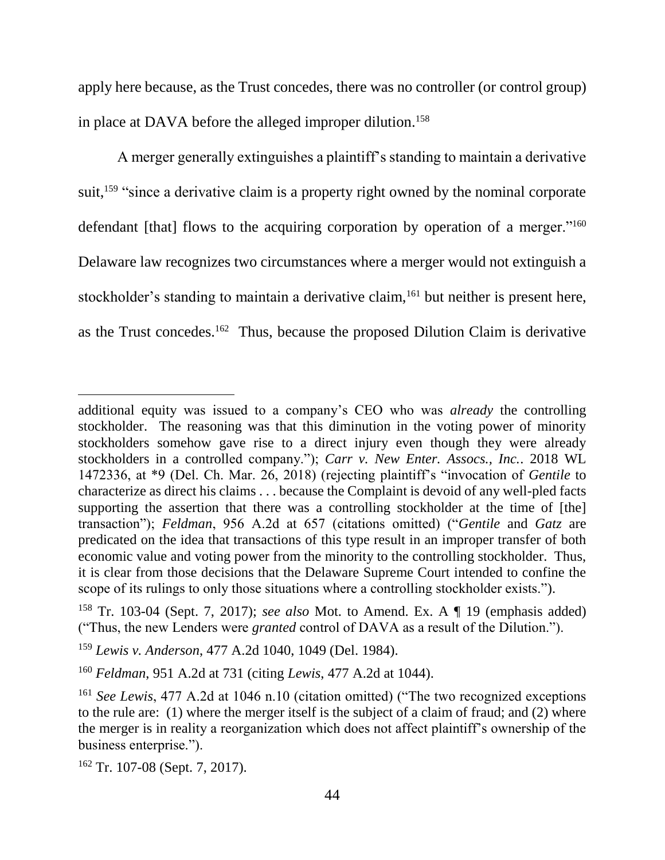apply here because, as the Trust concedes, there was no controller (or control group) in place at DAVA before the alleged improper dilution.<sup>158</sup>

A merger generally extinguishes a plaintiff's standing to maintain a derivative suit,<sup>159</sup> "since a derivative claim is a property right owned by the nominal corporate defendant [that] flows to the acquiring corporation by operation of a merger."<sup>160</sup> Delaware law recognizes two circumstances where a merger would not extinguish a stockholder's standing to maintain a derivative claim,<sup>161</sup> but neither is present here, as the Trust concedes.<sup>162</sup> Thus, because the proposed Dilution Claim is derivative

additional equity was issued to a company's CEO who was *already* the controlling stockholder. The reasoning was that this diminution in the voting power of minority stockholders somehow gave rise to a direct injury even though they were already stockholders in a controlled company."); *Carr v. New Enter. Assocs., Inc.*. 2018 WL 1472336, at \*9 (Del. Ch. Mar. 26, 2018) (rejecting plaintiff's "invocation of *Gentile* to characterize as direct his claims . . . because the Complaint is devoid of any well-pled facts supporting the assertion that there was a controlling stockholder at the time of [the] transaction"); *Feldman*, 956 A.2d at 657 (citations omitted) ("*Gentile* and *Gatz* are predicated on the idea that transactions of this type result in an improper transfer of both economic value and voting power from the minority to the controlling stockholder. Thus, it is clear from those decisions that the Delaware Supreme Court intended to confine the scope of its rulings to only those situations where a controlling stockholder exists.").

<sup>158</sup> Tr. 103-04 (Sept. 7, 2017); *see also* Mot. to Amend. Ex. A ¶ 19 (emphasis added) ("Thus, the new Lenders were *granted* control of DAVA as a result of the Dilution.").

<sup>159</sup> *Lewis v. Anderson*, 477 A.2d 1040, 1049 (Del. 1984).

<sup>160</sup> *Feldman*, 951 A.2d at 731 (citing *Lewis*, 477 A.2d at 1044).

<sup>161</sup> *See Lewis*, 477 A.2d at 1046 n.10 (citation omitted) ("The two recognized exceptions to the rule are: (1) where the merger itself is the subject of a claim of fraud; and (2) where the merger is in reality a reorganization which does not affect plaintiff's ownership of the business enterprise.").

<sup>162</sup> Tr. 107-08 (Sept. 7, 2017).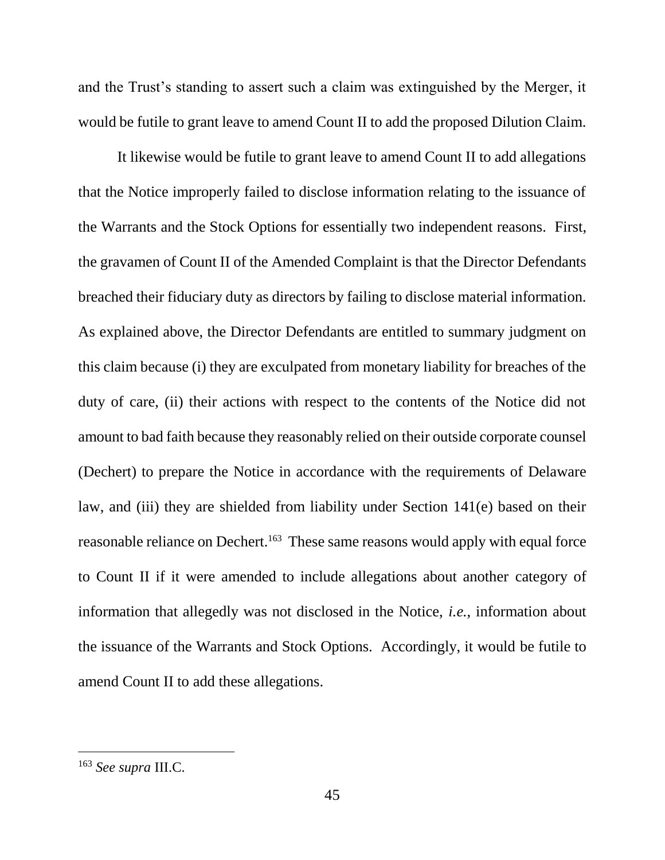and the Trust's standing to assert such a claim was extinguished by the Merger, it would be futile to grant leave to amend Count II to add the proposed Dilution Claim.

It likewise would be futile to grant leave to amend Count II to add allegations that the Notice improperly failed to disclose information relating to the issuance of the Warrants and the Stock Options for essentially two independent reasons. First, the gravamen of Count II of the Amended Complaint is that the Director Defendants breached their fiduciary duty as directors by failing to disclose material information. As explained above, the Director Defendants are entitled to summary judgment on this claim because (i) they are exculpated from monetary liability for breaches of the duty of care, (ii) their actions with respect to the contents of the Notice did not amount to bad faith because they reasonably relied on their outside corporate counsel (Dechert) to prepare the Notice in accordance with the requirements of Delaware law, and (iii) they are shielded from liability under Section 141(e) based on their reasonable reliance on Dechert.<sup>163</sup> These same reasons would apply with equal force to Count II if it were amended to include allegations about another category of information that allegedly was not disclosed in the Notice, *i.e.*, information about the issuance of the Warrants and Stock Options. Accordingly, it would be futile to amend Count II to add these allegations.

<sup>163</sup> *See supra* III.C.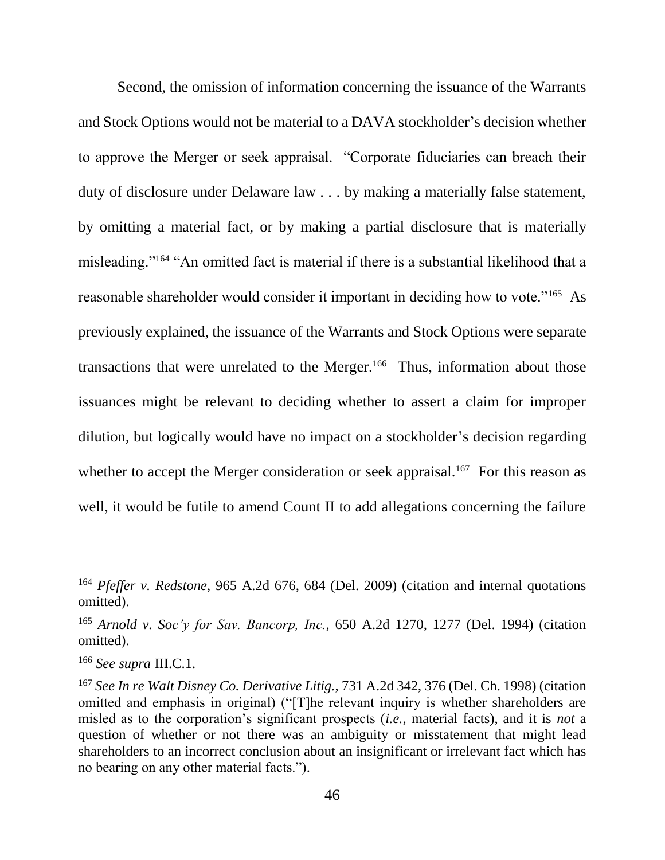Second, the omission of information concerning the issuance of the Warrants and Stock Options would not be material to a DAVA stockholder's decision whether to approve the Merger or seek appraisal. "Corporate fiduciaries can breach their duty of disclosure under Delaware law . . . by making a materially false statement, by omitting a material fact, or by making a partial disclosure that is materially misleading."<sup>164</sup> "An omitted fact is material if there is a substantial likelihood that a reasonable shareholder would consider it important in deciding how to vote."<sup>165</sup> As previously explained, the issuance of the Warrants and Stock Options were separate transactions that were unrelated to the Merger.<sup>166</sup> Thus, information about those issuances might be relevant to deciding whether to assert a claim for improper dilution, but logically would have no impact on a stockholder's decision regarding whether to accept the Merger consideration or seek appraisal.<sup>167</sup> For this reason as well, it would be futile to amend Count II to add allegations concerning the failure

<sup>164</sup> *Pfeffer v. Redstone*, 965 A.2d 676, 684 (Del. 2009) (citation and internal quotations omitted).

<sup>165</sup> *Arnold v. Soc'y for Sav. Bancorp, Inc.*, 650 A.2d 1270, 1277 (Del. 1994) (citation omitted).

<sup>166</sup> *See supra* III.C.1.

<sup>167</sup> *See In re Walt Disney Co. Derivative Litig.*, 731 A.2d 342, 376 (Del. Ch. 1998) (citation omitted and emphasis in original) ("[T]he relevant inquiry is whether shareholders are misled as to the corporation's significant prospects (*i.e.*, material facts), and it is *not* a question of whether or not there was an ambiguity or misstatement that might lead shareholders to an incorrect conclusion about an insignificant or irrelevant fact which has no bearing on any other material facts.").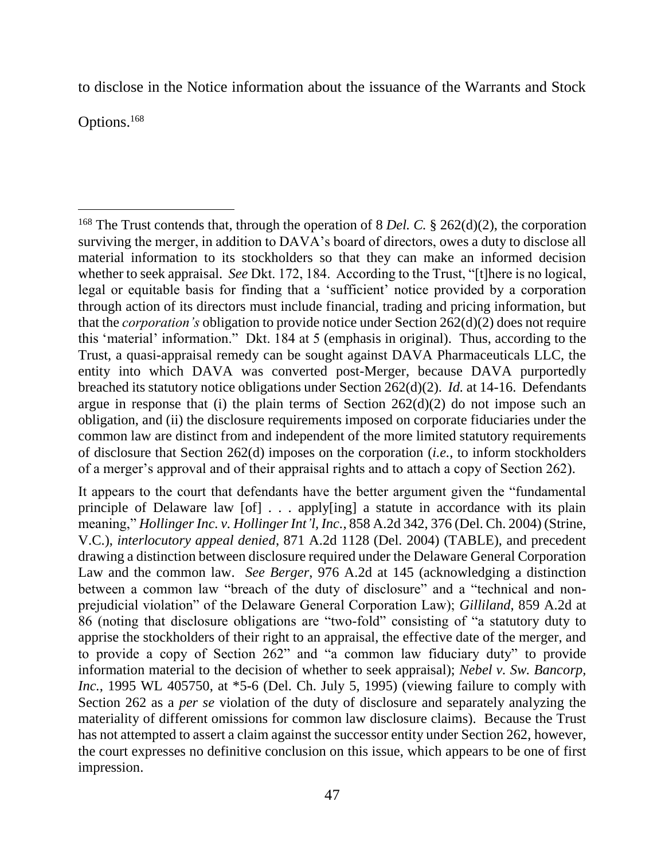to disclose in the Notice information about the issuance of the Warrants and Stock

Options.<sup>168</sup>

 $\overline{a}$ <sup>168</sup> The Trust contends that, through the operation of 8 *Del. C.* § 262(d)(2), the corporation surviving the merger, in addition to DAVA's board of directors, owes a duty to disclose all material information to its stockholders so that they can make an informed decision whether to seek appraisal. *See* Dkt. 172, 184. According to the Trust, "[t]here is no logical, legal or equitable basis for finding that a 'sufficient' notice provided by a corporation through action of its directors must include financial, trading and pricing information, but that the *corporation's* obligation to provide notice under Section 262(d)(2) does not require this 'material' information." Dkt. 184 at 5 (emphasis in original). Thus, according to the Trust, a quasi-appraisal remedy can be sought against DAVA Pharmaceuticals LLC, the entity into which DAVA was converted post-Merger, because DAVA purportedly breached its statutory notice obligations under Section 262(d)(2). *Id.* at 14-16. Defendants argue in response that (i) the plain terms of Section  $262(d)(2)$  do not impose such an obligation, and (ii) the disclosure requirements imposed on corporate fiduciaries under the common law are distinct from and independent of the more limited statutory requirements of disclosure that Section 262(d) imposes on the corporation (*i.e.*, to inform stockholders of a merger's approval and of their appraisal rights and to attach a copy of Section 262).

It appears to the court that defendants have the better argument given the "fundamental principle of Delaware law [of] . . . apply[ing] a statute in accordance with its plain meaning," *Hollinger Inc. v. Hollinger Int'l, Inc.*, 858 A.2d 342, 376 (Del. Ch. 2004) (Strine, V.C.), *interlocutory appeal denied*, 871 A.2d 1128 (Del. 2004) (TABLE), and precedent drawing a distinction between disclosure required under the Delaware General Corporation Law and the common law. *See Berger*, 976 A.2d at 145 (acknowledging a distinction between a common law "breach of the duty of disclosure" and a "technical and nonprejudicial violation" of the Delaware General Corporation Law); *Gilliland*, 859 A.2d at 86 (noting that disclosure obligations are "two-fold" consisting of "a statutory duty to apprise the stockholders of their right to an appraisal, the effective date of the merger, and to provide a copy of Section 262" and "a common law fiduciary duty" to provide information material to the decision of whether to seek appraisal); *Nebel v. Sw. Bancorp, Inc.*, 1995 WL 405750, at \*5-6 (Del. Ch. July 5, 1995) (viewing failure to comply with Section 262 as a *per se* violation of the duty of disclosure and separately analyzing the materiality of different omissions for common law disclosure claims). Because the Trust has not attempted to assert a claim against the successor entity under Section 262, however, the court expresses no definitive conclusion on this issue, which appears to be one of first impression.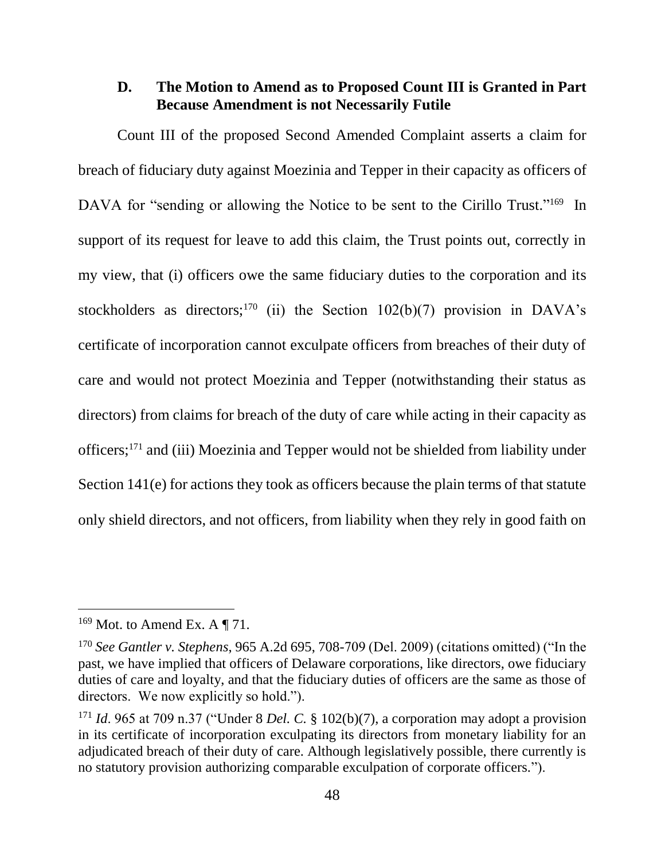# **D. The Motion to Amend as to Proposed Count III is Granted in Part Because Amendment is not Necessarily Futile**

Count III of the proposed Second Amended Complaint asserts a claim for breach of fiduciary duty against Moezinia and Tepper in their capacity as officers of DAVA for "sending or allowing the Notice to be sent to the Cirillo Trust."<sup>169</sup> In support of its request for leave to add this claim, the Trust points out, correctly in my view, that (i) officers owe the same fiduciary duties to the corporation and its stockholders as directors;<sup>170</sup> (ii) the Section 102(b)(7) provision in DAVA's certificate of incorporation cannot exculpate officers from breaches of their duty of care and would not protect Moezinia and Tepper (notwithstanding their status as directors) from claims for breach of the duty of care while acting in their capacity as officers;<sup>171</sup> and (iii) Moezinia and Tepper would not be shielded from liability under Section 141(e) for actions they took as officers because the plain terms of that statute only shield directors, and not officers, from liability when they rely in good faith on

 $169$  Mot. to Amend Ex. A  $\P$  71.

<sup>170</sup> *See Gantler v. Stephens*, 965 A.2d 695, 708-709 (Del. 2009) (citations omitted) ("In the past, we have implied that officers of Delaware corporations, like directors, owe fiduciary duties of care and loyalty, and that the fiduciary duties of officers are the same as those of directors. We now explicitly so hold.").

<sup>171</sup> *Id*. 965 at 709 n.37 ("Under 8 *Del. C.* § 102(b)(7), a corporation may adopt a provision in its certificate of incorporation exculpating its directors from monetary liability for an adjudicated breach of their duty of care. Although legislatively possible, there currently is no statutory provision authorizing comparable exculpation of corporate officers.").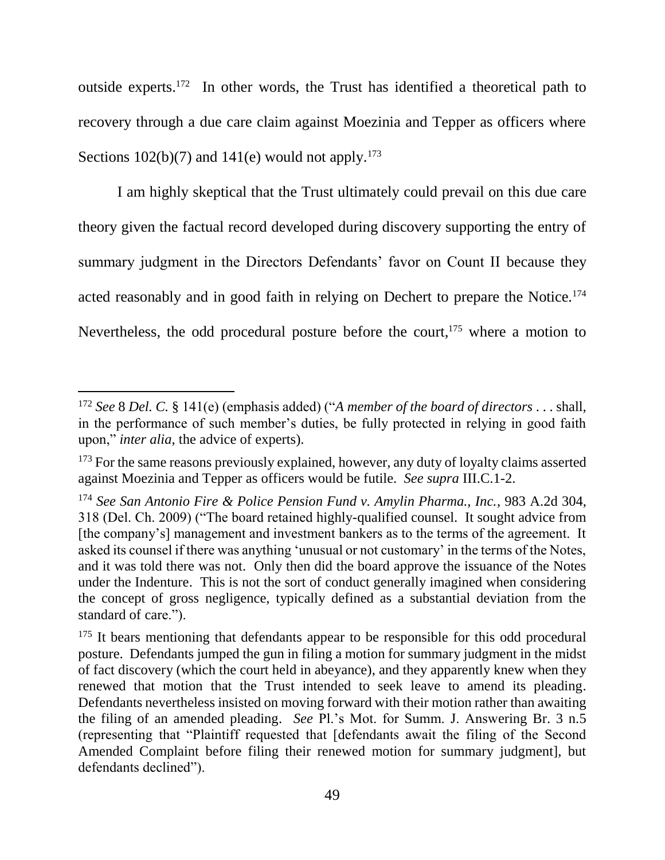outside experts.<sup>172</sup> In other words, the Trust has identified a theoretical path to recovery through a due care claim against Moezinia and Tepper as officers where Sections  $102(b)(7)$  and  $141(e)$  would not apply.<sup>173</sup>

I am highly skeptical that the Trust ultimately could prevail on this due care theory given the factual record developed during discovery supporting the entry of summary judgment in the Directors Defendants' favor on Count II because they acted reasonably and in good faith in relying on Dechert to prepare the Notice.<sup>174</sup> Nevertheless, the odd procedural posture before the court,<sup>175</sup> where a motion to

<sup>172</sup> *See* 8 *Del. C.* § 141(e) (emphasis added) ("*A member of the board of directors* . . . shall, in the performance of such member's duties, be fully protected in relying in good faith upon," *inter alia*, the advice of experts).

<sup>&</sup>lt;sup>173</sup> For the same reasons previously explained, however, any duty of loyalty claims asserted against Moezinia and Tepper as officers would be futile. *See supra* III.C.1-2.

<sup>174</sup> *See San Antonio Fire & Police Pension Fund v. Amylin Pharma., Inc.*, 983 A.2d 304, 318 (Del. Ch. 2009) ("The board retained highly-qualified counsel. It sought advice from [the company's] management and investment bankers as to the terms of the agreement. It asked its counsel if there was anything 'unusual or not customary' in the terms of the Notes, and it was told there was not. Only then did the board approve the issuance of the Notes under the Indenture. This is not the sort of conduct generally imagined when considering the concept of gross negligence, typically defined as a substantial deviation from the standard of care.").

<sup>&</sup>lt;sup>175</sup> It bears mentioning that defendants appear to be responsible for this odd procedural posture. Defendants jumped the gun in filing a motion for summary judgment in the midst of fact discovery (which the court held in abeyance), and they apparently knew when they renewed that motion that the Trust intended to seek leave to amend its pleading. Defendants nevertheless insisted on moving forward with their motion rather than awaiting the filing of an amended pleading. *See* Pl.'s Mot. for Summ. J. Answering Br. 3 n.5 (representing that "Plaintiff requested that [defendants await the filing of the Second Amended Complaint before filing their renewed motion for summary judgment], but defendants declined").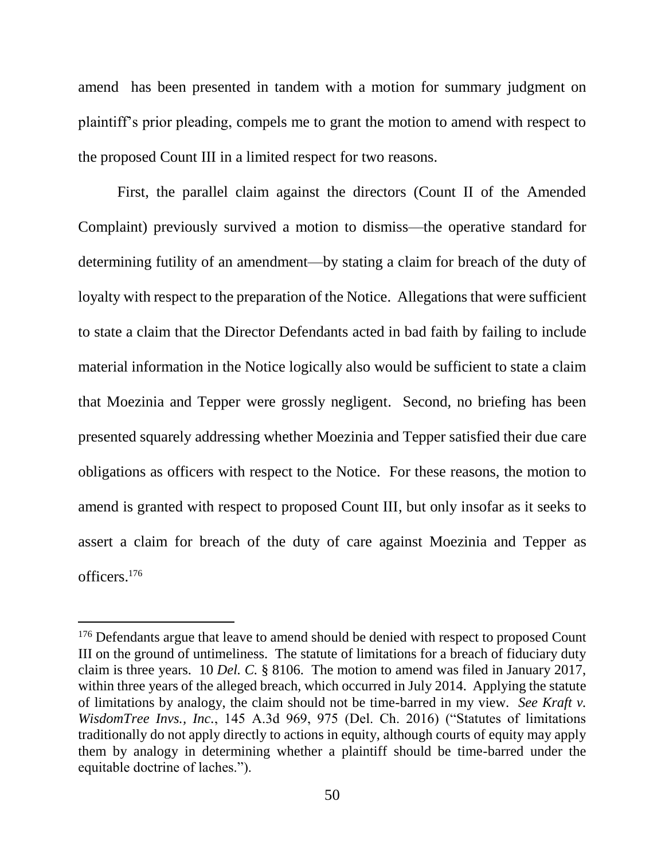amend has been presented in tandem with a motion for summary judgment on plaintiff's prior pleading, compels me to grant the motion to amend with respect to the proposed Count III in a limited respect for two reasons.

First, the parallel claim against the directors (Count II of the Amended Complaint) previously survived a motion to dismiss—the operative standard for determining futility of an amendment—by stating a claim for breach of the duty of loyalty with respect to the preparation of the Notice. Allegations that were sufficient to state a claim that the Director Defendants acted in bad faith by failing to include material information in the Notice logically also would be sufficient to state a claim that Moezinia and Tepper were grossly negligent. Second, no briefing has been presented squarely addressing whether Moezinia and Tepper satisfied their due care obligations as officers with respect to the Notice. For these reasons, the motion to amend is granted with respect to proposed Count III, but only insofar as it seeks to assert a claim for breach of the duty of care against Moezinia and Tepper as officers. 176

<sup>&</sup>lt;sup>176</sup> Defendants argue that leave to amend should be denied with respect to proposed Count III on the ground of untimeliness. The statute of limitations for a breach of fiduciary duty claim is three years. 10 *Del. C.* § 8106. The motion to amend was filed in January 2017, within three years of the alleged breach, which occurred in July 2014. Applying the statute of limitations by analogy, the claim should not be time-barred in my view. *See Kraft v. WisdomTree Invs., Inc.*, 145 A.3d 969, 975 (Del. Ch. 2016) ("Statutes of limitations traditionally do not apply directly to actions in equity, although courts of equity may apply them by analogy in determining whether a plaintiff should be time-barred under the equitable doctrine of laches.").